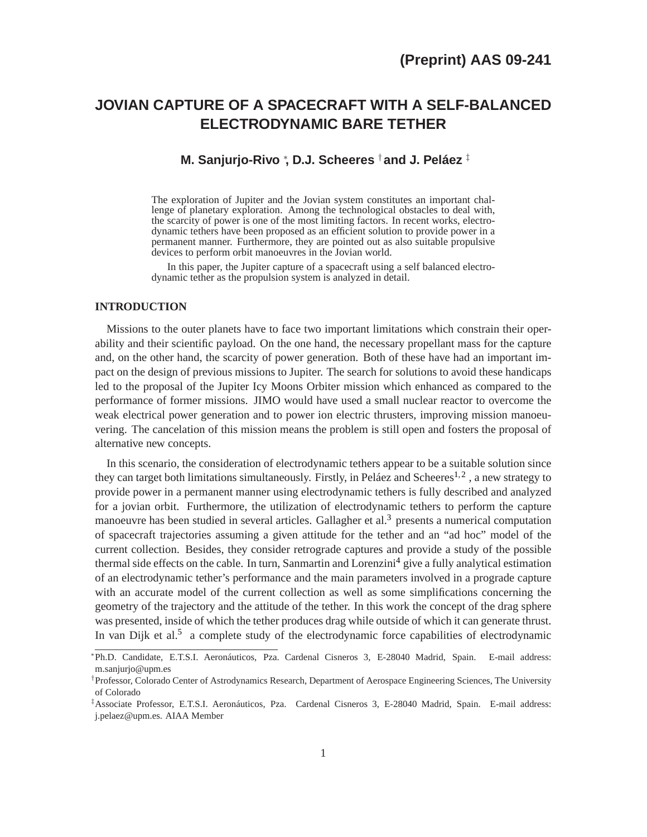# **JOVIAN CAPTURE OF A SPACECRAFT WITH A SELF-BALANCED ELECTRODYNAMIC BARE TETHER**

# **M. Sanjurjo-Rivo** <sup>∗</sup> **, D.J. Scheeres** †**and J. Peláez** ‡

The exploration of Jupiter and the Jovian system constitutes an important challenge of planetary exploration. Among the technological obstacles to deal with, the scarcity of power is one of the most limiting factors. In recent works, electrodynamic tethers have been proposed as an efficient solution to provide power in a permanent manner. Furthermore, they are pointed out as also suitable propulsive devices to perform orbit manoeuvres in the Jovian world.

In this paper, the Jupiter capture of a spacecraft using a self balanced electrodynamic tether as the propulsion system is analyzed in detail.

# **INTRODUCTION**

Missions to the outer planets have to face two important limitations which constrain their operability and their scientific payload. On the one hand, the necessary propellant mass for the capture and, on the other hand, the scarcity of power generation. Both of these have had an important impact on the design of previous missions to Jupiter. The search for solutions to avoid these handicaps led to the proposal of the Jupiter Icy Moons Orbiter mission which enhanced as compared to the performance of former missions. JIMO would have used a small nuclear reactor to overcome the weak electrical power generation and to power ion electric thrusters, improving mission manoeuvering. The cancelation of this mission means the problem is still open and fosters the proposal of alternative new concepts.

In this scenario, the consideration of electrodynamic tethers appear to be a suitable solution since they can target both limitations simultaneously. Firstly, in Peláez and Scheeres<sup>[1,](#page-21-0)[2](#page-21-1)</sup>, a new strategy to provide power in a permanent manner using electrodynamic tethers is fully described and analyzed for a jovian orbit. Furthermore, the utilization of electrodynamic tethers to perform the capture manoeuvre has been studied in several articles. Gallagher et al.<sup>[3](#page-21-2)</sup> presents a numerical computation of spacecraft trajectories assuming a given attitude for the tether and an "ad hoc" model of the current collection. Besides, they consider retrograde captures and provide a study of the possible thermal side effects on the cable. In turn, Sanmartin and Lorenzini<sup>[4](#page-21-3)</sup> give a fully analytical estimation of an electrodynamic tether's performance and the main parameters involved in a prograde capture with an accurate model of the current collection as well as some simplifications concerning the geometry of the trajectory and the attitude of the tether. In this work the concept of the drag sphere was presented, inside of which the tether produces drag while outside of which it can generate thrust. In van Dijk et al.<sup>[5](#page-21-4)</sup> a complete study of the electrodynamic force capabilities of electrodynamic

<sup>∗</sup> Ph.D. Candidate, E.T.S.I. Aeronáuticos, Pza. Cardenal Cisneros 3, E-28040 Madrid, Spain. E-mail address: m.sanjurjo@upm.es

<sup>†</sup> Professor, Colorado Center of Astrodynamics Research, Department of Aerospace Engineering Sciences, The University of Colorado

<sup>‡</sup>Associate Professor, E.T.S.I. Aeronáuticos, Pza. Cardenal Cisneros 3, E-28040 Madrid, Spain. E-mail address: j.pelaez@upm.es. AIAA Member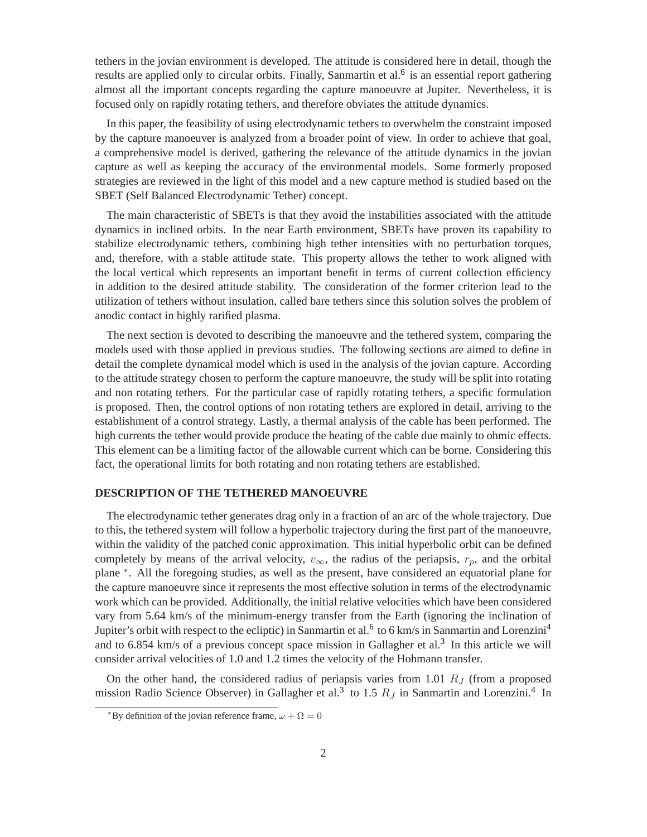tethers in the jovian environment is developed. The attitude is considered here in detail, though the results are applied only to circular orbits. Finally, Sanmartin et al.<sup>[6](#page-21-5)</sup> is an essential report gathering almost all the important concepts regarding the capture manoeuvre at Jupiter. Nevertheless, it is focused only on rapidly rotating tethers, and therefore obviates the attitude dynamics.

In this paper, the feasibility of using electrodynamic tethers to overwhelm the constraint imposed by the capture manoeuver is analyzed from a broader point of view. In order to achieve that goal, a comprehensive model is derived, gathering the relevance of the attitude dynamics in the jovian capture as well as keeping the accuracy of the environmental models. Some formerly proposed strategies are reviewed in the light of this model and a new capture method is studied based on the SBET (Self Balanced Electrodynamic Tether) concept.

The main characteristic of SBETs is that they avoid the instabilities associated with the attitude dynamics in inclined orbits. In the near Earth environment, SBETs have proven its capability to stabilize electrodynamic tethers, combining high tether intensities with no perturbation torques, and, therefore, with a stable attitude state. This property allows the tether to work aligned with the local vertical which represents an important benefit in terms of current collection efficiency in addition to the desired attitude stability. The consideration of the former criterion lead to the utilization of tethers without insulation, called bare tethers since this solution solves the problem of anodic contact in highly rarified plasma.

The next section is devoted to describing the manoeuvre and the tethered system, comparing the models used with those applied in previous studies. The following sections are aimed to define in detail the complete dynamical model which is used in the analysis of the jovian capture. According to the attitude strategy chosen to perform the capture manoeuvre, the study will be split into rotating and non rotating tethers. For the particular case of rapidly rotating tethers, a specific formulation is proposed. Then, the control options of non rotating tethers are explored in detail, arriving to the establishment of a control strategy. Lastly, a thermal analysis of the cable has been performed. The high currents the tether would provide produce the heating of the cable due mainly to ohmic effects. This element can be a limiting factor of the allowable current which can be borne. Considering this fact, the operational limits for both rotating and non rotating tethers are established.

# **DESCRIPTION OF THE TETHERED MANOEUVRE**

The electrodynamic tether generates drag only in a fraction of an arc of the whole trajectory. Due to this, the tethered system will follow a hyperbolic trajectory during the first part of the manoeuvre, within the validity of the patched conic approximation. This initial hyperbolic orbit can be defined completely by means of the arrival velocity,  $v_{\infty}$ , the radius of the periapsis,  $r_p$ , and the orbital plane \*. All the foregoing studies, as well as the present, have considered an equatorial plane for the capture manoeuvre since it represents the most effective solution in terms of the electrodynamic work which can be provided. Additionally, the initial relative velocities which have been considered vary from 5.64 km/s of the minimum-energy transfer from the Earth (ignoring the inclination of Jupiter's orbit with respect to the ecliptic) in Sanmartin et al.<sup>[6](#page-21-5)</sup> to 6 km/s in Sanmartin and Lorenzini<sup>[4](#page-21-3)</sup> and to 6.854 km/s of a previous concept space mission in Gallagher et al.<sup>[3](#page-21-2)</sup> In this article we will consider arrival velocities of 1.0 and 1.2 times the velocity of the Hohmann transfer.

<span id="page-1-0"></span>On the other hand, the considered radius of periapsis varies from 1.01  $R_J$  (from a proposed mission Radio Science Observer) in Gallagher et al.<sup>[3](#page-21-2)</sup> to 1.5  $R_J$  in Sanmartin and Lorenzini.<sup>[4](#page-21-3)</sup> In

<sup>\*</sup>By definition of the jovian reference frame,  $\omega + \Omega = 0$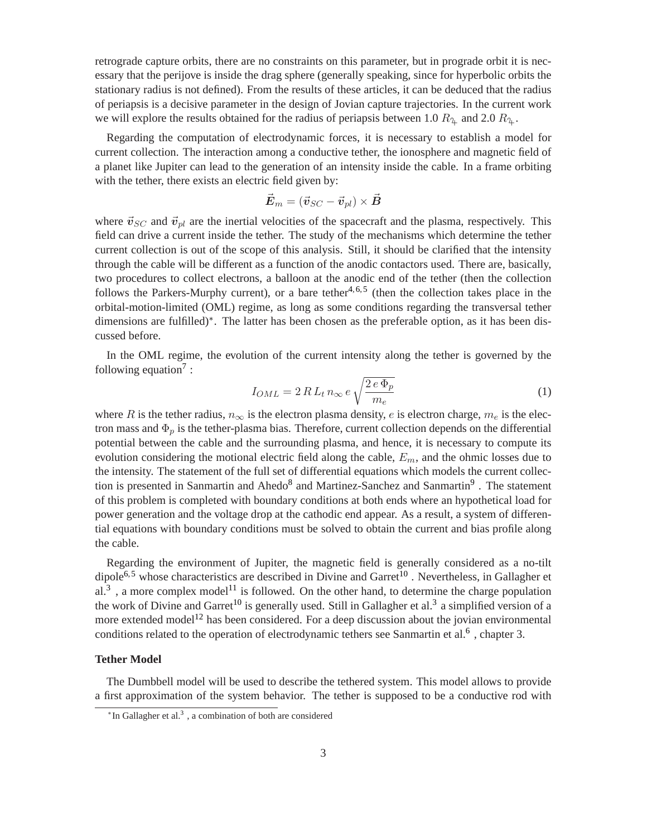retrograde capture orbits, there are no constraints on this parameter, but in prograde orbit it is necessary that the perijove is inside the drag sphere (generally speaking, since for hyperbolic orbits the stationary radius is not defined). From the results of these articles, it can be deduced that the radius of periapsis is a decisive parameter in the design of Jovian capture trajectories. In the current work we will explore the results obtained for the radius of periapsis between 1.0  $R_4$  and 2.0  $R_4$ .

Regarding the computation of electrodynamic forces, it is necessary to establish a model for current collection. The interaction among a conductive tether, the ionosphere and magnetic field of a planet like Jupiter can lead to the generation of an intensity inside the cable. In a frame orbiting with the tether, there exists an electric field given by:

$$
\vec{\bm{E}}_m = (\vec{\bm{v}}_{SC} - \vec{\bm{v}}_{pl}) \times \vec{\bm{B}}
$$

where  $\vec{v}_{SC}$  and  $\vec{v}_{pl}$  are the inertial velocities of the spacecraft and the plasma, respectively. This field can drive a current inside the tether. The study of the mechanisms which determine the tether current collection is out of the scope of this analysis. Still, it should be clarified that the intensity through the cable will be different as a function of the anodic contactors used. There are, basically, two procedures to collect electrons, a balloon at the anodic end of the tether (then the collection follows the Parkers-Murphy current), or a bare tether<sup>[4,](#page-21-3)[6,](#page-21-5)[5](#page-21-4)</sup> (then the collection takes place in the orbital-motion-limited (OML) regime, as long as some conditions regarding the transversal tether dimensions are fulfilled)[∗](#page-2-0) . The latter has been chosen as the preferable option, as it has been discussed before.

In the OML regime, the evolution of the current intensity along the tether is governed by the following equation<sup>[7](#page-21-6)</sup>:

$$
I_{OML} = 2\,R\,L_t\,n_\infty\,e\,\sqrt{\frac{2\,e\,\Phi_p}{m_e}}\tag{1}
$$

where R is the tether radius,  $n_{\infty}$  is the electron plasma density, e is electron charge,  $m_e$  is the electron mass and  $\Phi_p$  is the tether-plasma bias. Therefore, current collection depends on the differential potential between the cable and the surrounding plasma, and hence, it is necessary to compute its evolution considering the motional electric field along the cable,  $E_m$ , and the ohmic losses due to the intensity. The statement of the full set of differential equations which models the current collec-tion is presented in Sanmartin and Ahedo<sup>[8](#page-21-7)</sup> and Martinez-Sanchez and Sanmartin<sup>[9](#page-21-8)</sup>. The statement of this problem is completed with boundary conditions at both ends where an hypothetical load for power generation and the voltage drop at the cathodic end appear. As a result, a system of differential equations with boundary conditions must be solved to obtain the current and bias profile along the cable.

Regarding the environment of Jupiter, the magnetic field is generally considered as a no-tilt dipole<sup>[6,](#page-21-5)[5](#page-21-4)</sup> whose characteristics are described in Divine and Garret<sup>[10](#page-21-9)</sup>. Nevertheless, in Gallagher et al.<sup>[3](#page-21-2)</sup>, a more complex model<sup>[11](#page-21-10)</sup> is followed. On the other hand, to determine the charge population the work of Divine and Garret<sup>[10](#page-21-9)</sup> is generally used. Still in Gallagher et al.<sup>[3](#page-21-2)</sup> a simplified version of a more extended model<sup>[12](#page-22-0)</sup> has been considered. For a deep discussion about the jovian environmental conditions related to the operation of electrodynamic tethers see Sanmartin et al.<sup>[6](#page-21-5)</sup>, chapter 3.

# **Tether Model**

<span id="page-2-0"></span>The Dumbbell model will be used to describe the tethered system. This model allows to provide a first approximation of the system behavior. The tether is supposed to be a conductive rod with

<sup>\*</sup>In Gallagher et al.<sup>[3](#page-21-2)</sup>, a combination of both are considered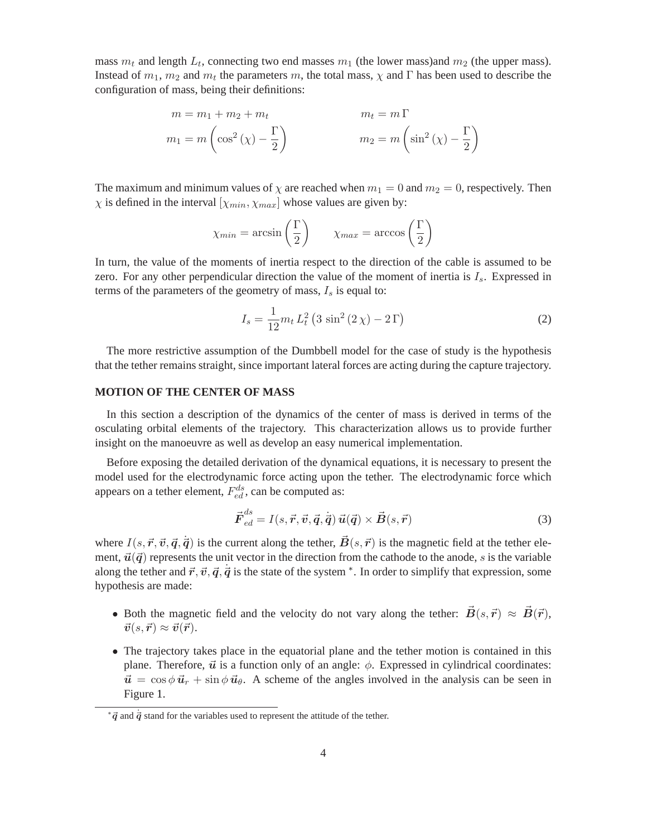mass  $m_t$  and length  $L_t$ , connecting two end masses  $m_1$  (the lower mass) and  $m_2$  (the upper mass). Instead of  $m_1$ ,  $m_2$  and  $m_t$  the parameters m, the total mass,  $\chi$  and  $\Gamma$  has been used to describe the configuration of mass, being their definitions:

$$
m = m_1 + m_2 + m_t
$$
  
\n
$$
m_1 = m \left( \cos^2(\chi) - \frac{\Gamma}{2} \right)
$$
  
\n
$$
m_2 = m \left( \sin^2(\chi) - \frac{\Gamma}{2} \right)
$$

The maximum and minimum values of  $\chi$  are reached when  $m_1 = 0$  and  $m_2 = 0$ , respectively. Then  $\chi$  is defined in the interval  $[\chi_{min}, \chi_{max}]$  whose values are given by:

$$
\chi_{min} = \arcsin\left(\frac{\Gamma}{2}\right) \qquad \chi_{max} = \arccos\left(\frac{\Gamma}{2}\right)
$$

In turn, the value of the moments of inertia respect to the direction of the cable is assumed to be zero. For any other perpendicular direction the value of the moment of inertia is  $I_s$ . Expressed in terms of the parameters of the geometry of mass,  $I_s$  is equal to:

<span id="page-3-1"></span>
$$
I_s = \frac{1}{12} m_t L_t^2 (3 \sin^2(2 \chi) - 2 \Gamma)
$$
 (2)

The more restrictive assumption of the Dumbbell model for the case of study is the hypothesis that the tether remains straight, since important lateral forces are acting during the capture trajectory.

# **MOTION OF THE CENTER OF MASS**

In this section a description of the dynamics of the center of mass is derived in terms of the osculating orbital elements of the trajectory. This characterization allows us to provide further insight on the manoeuvre as well as develop an easy numerical implementation.

Before exposing the detailed derivation of the dynamical equations, it is necessary to present the model used for the electrodynamic force acting upon the tether. The electrodynamic force which appears on a tether element,  $F_{ed}^{ds}$ , can be computed as:

$$
\vec{F}_{ed}^{ds} = I(s, \vec{r}, \vec{v}, \vec{q}, \dot{\vec{q}}) \vec{u}(\vec{q}) \times \vec{B}(s, \vec{r})
$$
\n(3)

where  $I(s, \vec{r}, \vec{v}, \vec{q}, \dot{\vec{q}})$  is the current along the tether,  $\vec{B}(s, \vec{r})$  is the magnetic field at the tether element,  $\vec{u}(\vec{q})$  represents the unit vector in the direction from the cathode to the anode, s is the variable along the tether and  $\vec{r}, \vec{v}, \vec{q}, \dot{\vec{q}}$  is the state of the system  $*$ . In order to simplify that expression, some hypothesis are made:

- Both the magnetic field and the velocity do not vary along the tether:  $\vec{B}(s,\vec{r}) \approx \vec{B}(\vec{r})$ ,  $\vec{v}(s,\vec{r}) \approx \vec{v}(\vec{r}).$
- The trajectory takes place in the equatorial plane and the tether motion is contained in this plane. Therefore,  $\vec{u}$  is a function only of an angle:  $\phi$ . Expressed in cylindrical coordinates:  $\vec{u} = \cos \phi \vec{u}_r + \sin \phi \vec{u}_\theta$ . A scheme of the angles involved in the analysis can be seen in Figure [1.](#page-4-0)

<span id="page-3-0"></span> $*{\vec q}$  and  ${\dot {\vec q}}$  stand for the variables used to represent the attitude of the tether.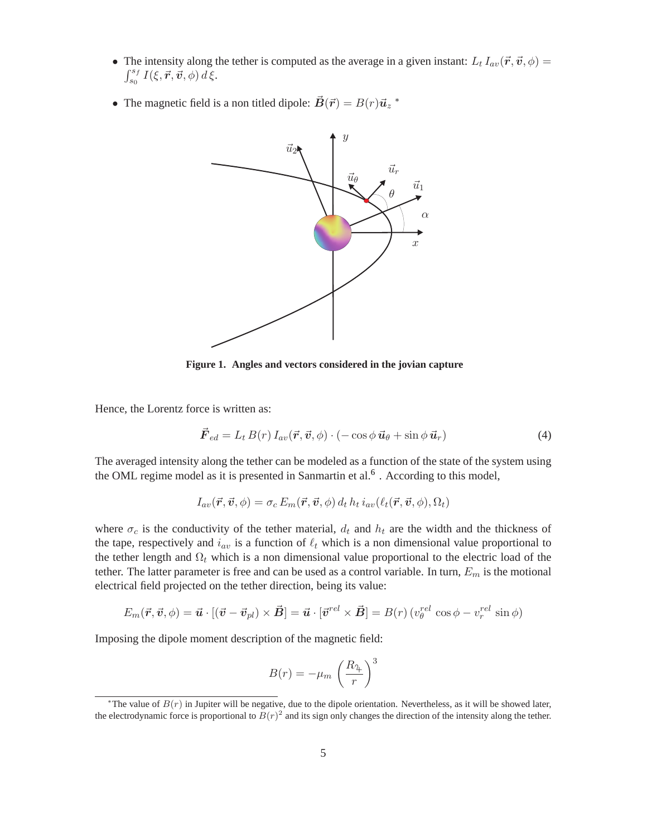- The intensity along the tether is computed as the average in a given instant:  $L_t I_{av}(\vec{r}, \vec{v}, \phi) =$  $\int_{s_0}^{s_f} I(\xi,\vec{r},\dot{\vec{v}},\phi) d\xi.$
- The magnetic field is a non titled dipole:  $\vec{B}(\vec{r}) = B(r)\vec{u}_z$  \*



<span id="page-4-0"></span>**Figure 1. Angles and vectors considered in the jovian capture**

Hence, the Lorentz force is written as:

$$
\vec{F}_{ed} = L_t B(r) I_{av}(\vec{r}, \vec{v}, \phi) \cdot (-\cos \phi \, \vec{u}_{\theta} + \sin \phi \, \vec{u}_r)
$$
(4)

The averaged intensity along the tether can be modeled as a function of the state of the system using the OML regime model as it is presented in Sanmartin et al.<sup>[6](#page-21-5)</sup>. According to this model,

$$
I_{av}(\vec{r}, \vec{v}, \phi) = \sigma_c E_m(\vec{r}, \vec{v}, \phi) d_t h_t i_{av}(\ell_t(\vec{r}, \vec{v}, \phi), \Omega_t)
$$

where  $\sigma_c$  is the conductivity of the tether material,  $d_t$  and  $h_t$  are the width and the thickness of the tape, respectively and  $i_{av}$  is a function of  $\ell_t$  which is a non dimensional value proportional to the tether length and  $\Omega_t$  which is a non dimensional value proportional to the electric load of the tether. The latter parameter is free and can be used as a control variable. In turn,  $E_m$  is the motional electrical field projected on the tether direction, being its value:

$$
E_m(\vec{r}, \vec{v}, \phi) = \vec{u} \cdot [(\vec{v} - \vec{v}_{pl}) \times \vec{B}] = \vec{u} \cdot [\vec{v}^{rel} \times \vec{B}] = B(r) (v_{\theta}^{rel} \cos \phi - v_r^{rel} \sin \phi)
$$

Imposing the dipole moment description of the magnetic field:

$$
B(r) = -\mu_m \left(\frac{R_{\mathfrak{P}}}{r}\right)^3
$$

<span id="page-4-1"></span><sup>\*</sup>The value of  $B(r)$  in Jupiter will be negative, due to the dipole orientation. Nevertheless, as it will be showed later, the electrodynamic force is proportional to  $\tilde{B}(r)^2$  and its sign only changes the direction of the intensity along the tether.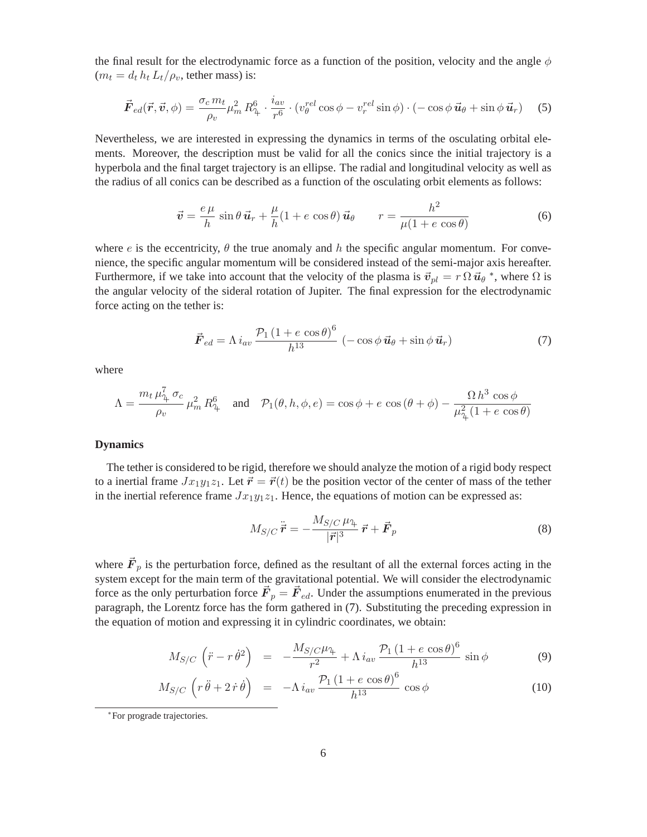the final result for the electrodynamic force as a function of the position, velocity and the angle  $\phi$  $(m_t = d_t h_t L_t / \rho_v$ , tether mass) is:

$$
\vec{F}_{ed}(\vec{r}, \vec{v}, \phi) = \frac{\sigma_c m_t}{\rho_v} \mu_m^2 R_{\uparrow}^6 \cdot \frac{i_{av}}{r^6} \cdot (v_{\theta}^{rel} \cos \phi - v_r^{rel} \sin \phi) \cdot (-\cos \phi \, \vec{u}_{\theta} + \sin \phi \, \vec{u}_r) \tag{5}
$$

Nevertheless, we are interested in expressing the dynamics in terms of the osculating orbital elements. Moreover, the description must be valid for all the conics since the initial trajectory is a hyperbola and the final target trajectory is an ellipse. The radial and longitudinal velocity as well as the radius of all conics can be described as a function of the osculating orbit elements as follows:

$$
\vec{v} = \frac{e\,\mu}{h}\sin\theta\,\vec{u}_r + \frac{\mu}{h}(1 + e\,\cos\theta)\,\vec{u}_\theta \qquad r = \frac{h^2}{\mu(1 + e\,\cos\theta)}\tag{6}
$$

where e is the eccentricity,  $\theta$  the true anomaly and h the specific angular momentum. For convenience, the specific angular momentum will be considered instead of the semi-major axis hereafter. Furthermore, if we take into account that the velocity of the plasma is  $\vec{v}_{pl} = r \Omega \vec{u}_{\theta} *$ , where  $\Omega$  is the angular velocity of the sideral rotation of Jupiter. The final expression for the electrodynamic force acting on the tether is:

$$
\vec{F}_{ed} = \Lambda i_{av} \frac{\mathcal{P}_1 \left(1 + e \cos \theta\right)^6}{h^{13}} \left(-\cos \phi \, \vec{u}_{\theta} + \sin \phi \, \vec{u}_r\right) \tag{7}
$$

<span id="page-5-1"></span>where

$$
\Lambda = \frac{m_t \,\mu_\gamma^7 \,\sigma_c}{\rho_v} \,\mu_m^2 \,R_\gamma^6 \quad \text{and} \quad \mathcal{P}_1(\theta, h, \phi, e) = \cos\phi + e \, \cos\left(\theta + \phi\right) - \frac{\Omega \, h^3 \, \cos\phi}{\mu_\gamma^2 \left(1 + e \, \cos\theta\right)}
$$

# **Dynamics**

The tether is considered to be rigid, therefore we should analyze the motion of a rigid body respect to a inertial frame  $Jx_1y_1z_1$ . Let  $\vec{r} = \vec{r}(t)$  be the position vector of the center of mass of the tether in the inertial reference frame  $Jx_1y_1z_1$ . Hence, the equations of motion can be expressed as:

$$
M_{S/C}\ddot{\vec{r}} = -\frac{M_{S/C}\,\mu_{\gamma}}{|\vec{r}|^3}\,\vec{r} + \vec{F}_p \tag{8}
$$

where  $\vec{F}_p$  is the perturbation force, defined as the resultant of all the external forces acting in the system except for the main term of the gravitational potential. We will consider the electrodynamic force as the only perturbation force  $\vec{F}_p = \vec{F}_{ed}$ . Under the assumptions enumerated in the previous paragraph, the Lorentz force has the form gathered in [\(7\)](#page-5-1). Substituting the preceding expression in the equation of motion and expressing it in cylindric coordinates, we obtain:

$$
M_{S/C}\left(\ddot{r}-r\dot{\theta}^2\right) = -\frac{M_{S/C}\mu_{\mathfrak{P}}}{r^2} + \Lambda i_{av}\frac{\mathcal{P}_1\left(1+e\cos\theta\right)^6}{h^{13}}\sin\phi\tag{9}
$$

$$
M_{S/C} \left( r \ddot{\theta} + 2 \dot{r} \dot{\theta} \right) = -\Lambda i_{av} \frac{\mathcal{P}_1 \left( 1 + e \cos \theta \right)^6}{h^{13}} \cos \phi \tag{10}
$$

<span id="page-5-0"></span><sup>∗</sup> For prograde trajectories.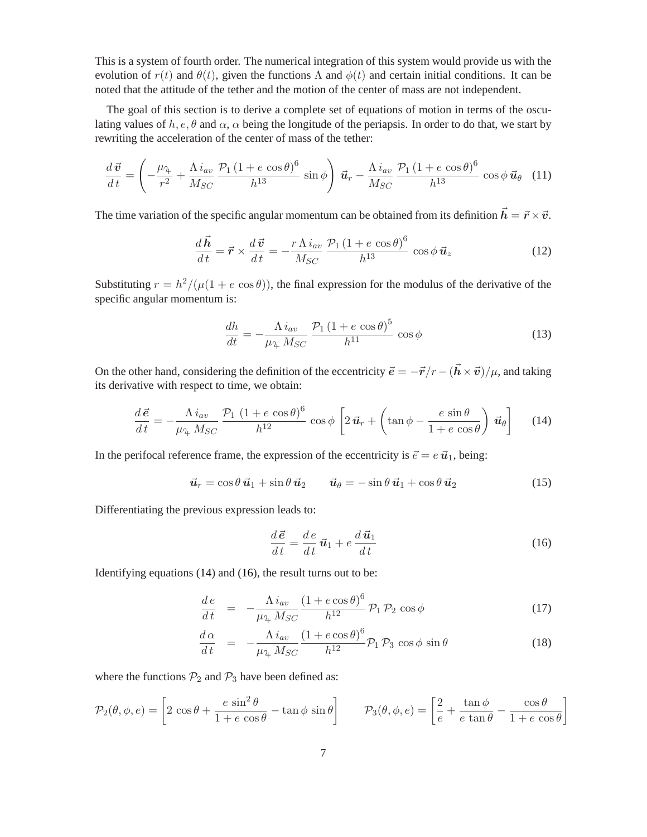This is a system of fourth order. The numerical integration of this system would provide us with the evolution of  $r(t)$  and  $\theta(t)$ , given the functions  $\Lambda$  and  $\phi(t)$  and certain initial conditions. It can be noted that the attitude of the tether and the motion of the center of mass are not independent.

The goal of this section is to derive a complete set of equations of motion in terms of the osculating values of h, e,  $\theta$  and  $\alpha$ ,  $\alpha$  being the longitude of the periapsis. In order to do that, we start by rewriting the acceleration of the center of mass of the tether:

$$
\frac{d\,\vec{\boldsymbol{v}}}{dt} = \left(-\frac{\mu_{\mathcal{H}}}{r^2} + \frac{\Lambda\,i_{av}}{M_{SC}}\frac{\mathcal{P}_1\left(1 + e\,\cos\theta\right)^6}{h^{13}}\,\sin\phi\right)\,\vec{\boldsymbol{u}}_r - \frac{\Lambda\,i_{av}}{M_{SC}}\frac{\mathcal{P}_1\left(1 + e\,\cos\theta\right)^6}{h^{13}}\,\cos\phi\,\vec{\boldsymbol{u}}_\theta\tag{11}
$$

The time variation of the specific angular momentum can be obtained from its definition  $\vec{h} = \vec{r} \times \vec{v}$ .

$$
\frac{d\vec{h}}{dt} = \vec{r} \times \frac{d\vec{v}}{dt} = -\frac{r\,\Lambda\,i_{av}}{M_{SC}}\frac{\mathcal{P}_1\,(1+e\,\cos\theta)^6}{h^{13}}\,\cos\phi\,\vec{u}_z\tag{12}
$$

Substituting  $r = h^2/(\mu(1 + e \cos \theta))$ , the final expression for the modulus of the derivative of the specific angular momentum is:

$$
\frac{dh}{dt} = -\frac{\Lambda i_{av}}{\mu_{\mathcal{A}} M_{SC}} \frac{\mathcal{P}_1 \left( 1 + e \cos \theta \right)^5}{h^{11}} \cos \phi \tag{13}
$$

<span id="page-6-0"></span>On the other hand, considering the definition of the eccentricity  $\vec{e} = -\vec{r}/r - (\vec{h} \times \vec{v})/\mu$ , and taking its derivative with respect to time, we obtain:

$$
\frac{d\vec{e}}{dt} = -\frac{\Lambda i_{av}}{\mu_{\gamma} M_{SC}} \frac{\mathcal{P}_1 (1 + e \cos \theta)^6}{h^{12}} \cos \phi \left[ 2 \vec{u}_r + \left( \tan \phi - \frac{e \sin \theta}{1 + e \cos \theta} \right) \vec{u}_{\theta} \right]
$$
(14)

In the perifocal reference frame, the expression of the eccentricity is  $\vec{e} = e \vec{u}_1$ , being:

<span id="page-6-1"></span>
$$
\vec{\boldsymbol{u}}_r = \cos\theta \,\vec{\boldsymbol{u}}_1 + \sin\theta \,\vec{\boldsymbol{u}}_2 \qquad \vec{\boldsymbol{u}}_\theta = -\sin\theta \,\vec{\boldsymbol{u}}_1 + \cos\theta \,\vec{\boldsymbol{u}}_2 \tag{15}
$$

Differentiating the previous expression leads to:

$$
\frac{d\vec{e}}{dt} = \frac{de}{dt}\vec{u}_1 + e\frac{d\vec{u}_1}{dt}
$$
(16)

Identifying equations [\(14\)](#page-6-0) and [\(16\)](#page-6-1), the result turns out to be:

$$
\frac{de}{dt} = -\frac{\Lambda i_{av}}{\mu_{\gamma} M_{SC}} \frac{(1 + e \cos \theta)^6}{h^{12}} \mathcal{P}_1 \mathcal{P}_2 \cos \phi \tag{17}
$$

$$
\frac{d\alpha}{dt} = -\frac{\Lambda i_{av}}{\mu_{4} M_{SC}} \frac{(1 + e \cos \theta)^{6}}{h^{12}} \mathcal{P}_{1} \mathcal{P}_{3} \cos \phi \sin \theta \tag{18}
$$

where the functions  $P_2$  and  $P_3$  have been defined as:

$$
\mathcal{P}_2(\theta,\phi,e) = \left[2\,\cos\theta + \frac{e\,\sin^2\theta}{1+e\,\cos\theta} - \tan\phi\,\sin\theta\right] \qquad \mathcal{P}_3(\theta,\phi,e) = \left[\frac{2}{e} + \frac{\tan\phi}{e\,\tan\theta} - \frac{\cos\theta}{1+e\,\cos\theta}\right]
$$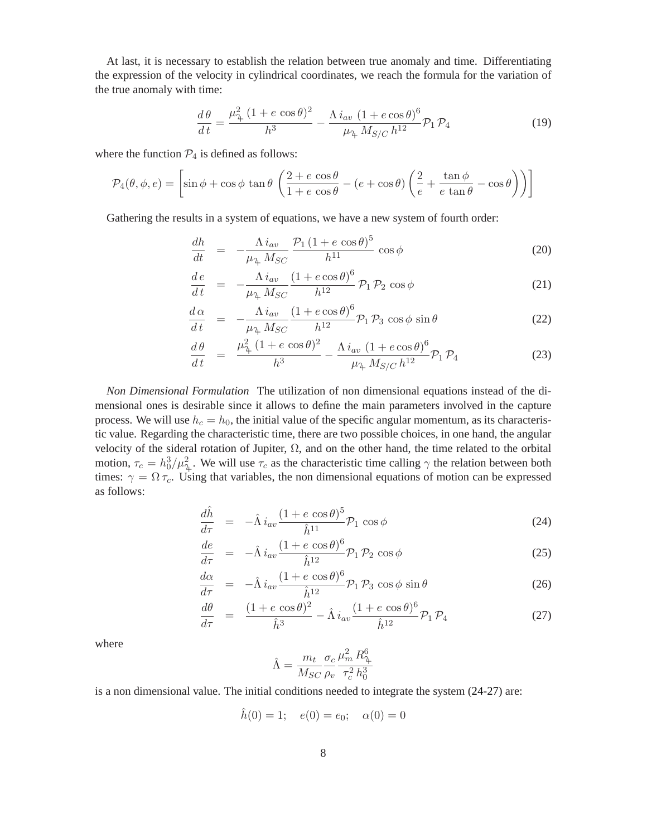At last, it is necessary to establish the relation between true anomaly and time. Differentiating the expression of the velocity in cylindrical coordinates, we reach the formula for the variation of the true anomaly with time:

$$
\frac{d\theta}{dt} = \frac{\mu_{\gamma}^2 (1 + e \cos \theta)^2}{h^3} - \frac{\Lambda i_{av} (1 + e \cos \theta)^6}{\mu_{\gamma} M_{S/C} h^{12}} \mathcal{P}_1 \mathcal{P}_4
$$
(19)

where the function  $\mathcal{P}_4$  is defined as follows:

$$
\mathcal{P}_4(\theta,\phi,e) = \left[\sin\phi + \cos\phi\tan\theta\left(\frac{2+e\,\cos\theta}{1+e\,\cos\theta} - (e+\cos\theta)\left(\frac{2}{e} + \frac{\tan\phi}{e\tan\theta} - \cos\theta\right)\right)\right]
$$

Gathering the results in a system of equations, we have a new system of fourth order:

$$
\frac{dh}{dt} = -\frac{\Lambda i_{av}}{\mu_{\gamma} M_{SC}} \frac{\mathcal{P}_1 \left(1 + e \cos \theta\right)^5}{h^{11}} \cos \phi \tag{20}
$$

$$
\frac{de}{dt} = -\frac{\Lambda i_{av}}{\mu_{\gamma} M_{SC}} \frac{(1 + e \cos \theta)^6}{h^{12}} \mathcal{P}_1 \mathcal{P}_2 \cos \phi \tag{21}
$$

$$
\frac{d\alpha}{dt} = -\frac{\Lambda i_{av}}{\mu_{\text{A}} M_{SC}} \frac{(1 + e \cos \theta)^6}{h^{12}} \mathcal{P}_1 \mathcal{P}_3 \cos \phi \sin \theta \tag{22}
$$

$$
\frac{d\theta}{dt} = \frac{\mu_{\text{A}}^2 (1 + e \cos \theta)^2}{h^3} - \frac{\Lambda i_{av} (1 + e \cos \theta)^6}{\mu_{\text{A}} M_{S/C} h^{12}} \mathcal{P}_1 \mathcal{P}_4 \tag{23}
$$

*Non Dimensional Formulation* The utilization of non dimensional equations instead of the dimensional ones is desirable since it allows to define the main parameters involved in the capture process. We will use  $h_c = h_0$ , the initial value of the specific angular momentum, as its characteristic value. Regarding the characteristic time, there are two possible choices, in one hand, the angular velocity of the sideral rotation of Jupiter,  $\Omega$ , and on the other hand, the time related to the orbital motion,  $\tau_c = h_0^3 / \mu_{\tau_+}^2$ . We will use  $\tau_c$  as the characteristic time calling  $\gamma$  the relation between both times:  $\gamma = \Omega \tau_c$ . Using that variables, the non dimensional equations of motion can be expressed as follows:

<span id="page-7-0"></span>
$$
\frac{d\hat{h}}{d\tau} = -\hat{\Lambda} i_{av} \frac{(1 + e \cos \theta)^5}{\hat{h}^{11}} \mathcal{P}_1 \cos \phi \tag{24}
$$

$$
\frac{de}{d\tau} = -\hat{\Lambda} i_{av} \frac{(1 + e \cos \theta)^6}{\hat{h}^{12}} \mathcal{P}_1 \mathcal{P}_2 \cos \phi \tag{25}
$$

$$
\frac{d\alpha}{d\tau} = -\hat{\Lambda} i_{av} \frac{(1 + e \cos \theta)^6}{\hat{h}^{12}} \mathcal{P}_1 \mathcal{P}_3 \cos \phi \sin \theta \tag{26}
$$

$$
\frac{d\theta}{d\tau} = \frac{(1 + e \cos \theta)^2}{\hat{h}^3} - \hat{\Lambda} i_{av} \frac{(1 + e \cos \theta)^6}{\hat{h}^{12}} \mathcal{P}_1 \mathcal{P}_4 \tag{27}
$$

where

$$
\hat{\Lambda} = \frac{m_t}{M_{SC}} \frac{\sigma_c}{\rho_v} \frac{\mu_m^2 R_{\gamma}^6}{\tau_c^2 h_0^3}
$$

is a non dimensional value. The initial conditions needed to integrate the system [\(24-27\)](#page-7-0) are:

$$
\hat{h}(0) = 1;
$$
  $e(0) = e_0;$   $\alpha(0) = 0$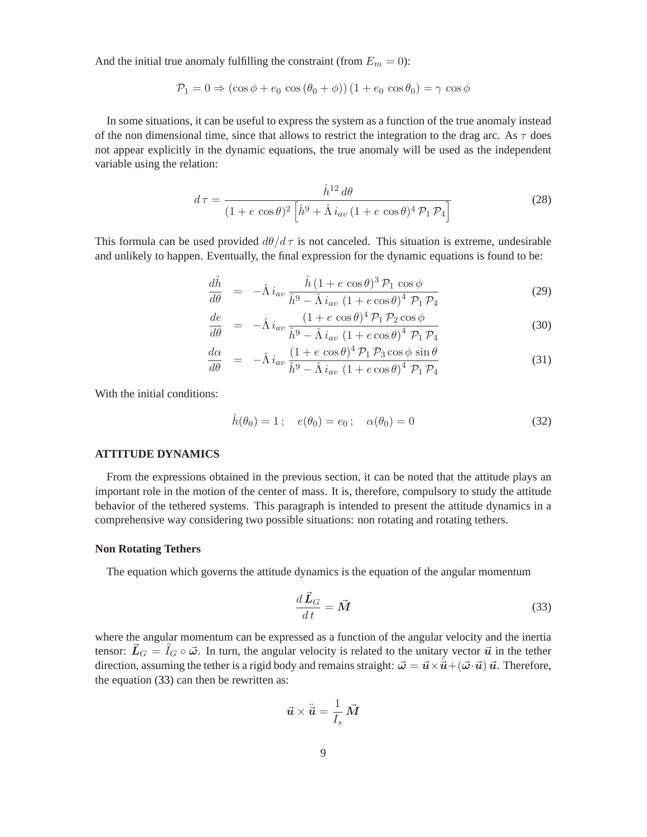And the initial true anomaly fulfilling the constraint (from  $E_m = 0$ ):

$$
\mathcal{P}_1 = 0 \Rightarrow (\cos \phi + e_0 \cos (\theta_0 + \phi)) (1 + e_0 \cos \theta_0) = \gamma \cos \phi
$$

In some situations, it can be useful to express the system as a function of the true anomaly instead of the non dimensional time, since that allows to restrict the integration to the drag arc. As  $\tau$  does not appear explicitly in the dynamic equations, the true anomaly will be used as the independent variable using the relation:

$$
d\tau = \frac{\hat{h}^{12} d\theta}{(1 + e \cos \theta)^2 \left[\hat{h}^9 + \hat{\Lambda} i_{av} (1 + e \cos \theta)^4 \mathcal{P}_1 \mathcal{P}_4\right]}
$$
(28)

This formula can be used provided  $d\theta/d\tau$  is not canceled. This situation is extreme, undesirable and unlikely to happen. Eventually, the final expression for the dynamic equations is found to be:

$$
\frac{d\hat{h}}{d\theta} = -\hat{\Lambda} i_{av} \frac{\hat{h} (1 + e \cos \theta)^3 \mathcal{P}_1 \cos \phi}{\hat{h}^9 - \hat{\Lambda} i_{av} (1 + e \cos \theta)^4 \mathcal{P}_1 \mathcal{P}_4}
$$
(29)

$$
\frac{de}{d\theta} = -\hat{\Lambda} i_{av} \frac{(1 + e \cos \theta)^4 \mathcal{P}_1 \mathcal{P}_2 \cos \phi}{\hat{h}^9 - \hat{\Lambda} i_{av} (1 + e \cos \theta)^4 \mathcal{P}_1 \mathcal{P}_4}
$$
(30)

$$
\frac{d\alpha}{d\theta} = -\hat{\Lambda} i_{av} \frac{(1 + e \cos \theta)^4 \mathcal{P}_1 \mathcal{P}_3 \cos \phi \sin \theta}{\hat{h}^9 - \hat{\Lambda} i_{av} (1 + e \cos \theta)^4 \mathcal{P}_1 \mathcal{P}_4}
$$
(31)

With the initial conditions:

$$
\hat{h}(\theta_0) = 1;
$$
  $e(\theta_0) = e_0;$   $\alpha(\theta_0) = 0$  (32)

#### **ATTITUDE DYNAMICS**

From the expressions obtained in the previous section, it can be noted that the attitude plays an important role in the motion of the center of mass. It is, therefore, compulsory to study the attitude behavior of the tethered systems. This paragraph is intended to present the attitude dynamics in a comprehensive way considering two possible situations: non rotating and rotating tethers.

#### **Non Rotating Tethers**

The equation which governs the attitude dynamics is the equation of the angular momentum

<span id="page-8-0"></span>
$$
\frac{d\vec{L}_G}{dt} = \vec{M} \tag{33}
$$

where the angular momentum can be expressed as a function of the angular velocity and the inertia tensor:  $\vec{L}_G = \overline{I}_G \circ \vec{\omega}$ . In turn, the angular velocity is related to the unitary vector  $\vec{u}$  in the tether direction, assuming the tether is a rigid body and remains straight:  $\vec{\omega} = \vec{u} \times \vec{u} + (\vec{\omega} \cdot \vec{u}) \vec{u}$ . Therefore, the equation [\(33\)](#page-8-0) can then be rewritten as:

$$
\vec{u} \times \ddot{\vec{u}} = \frac{1}{I_s} \vec{M}
$$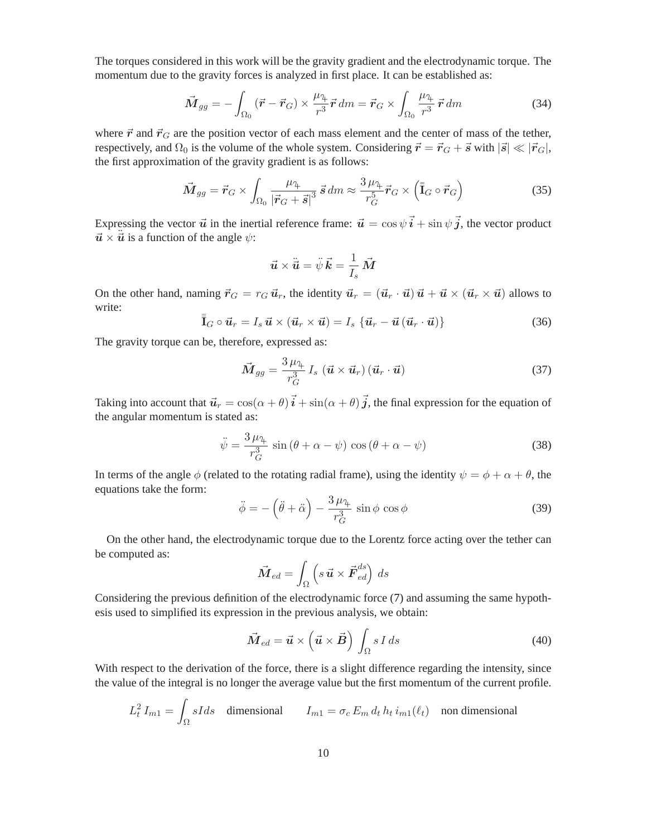The torques considered in this work will be the gravity gradient and the electrodynamic torque. The momentum due to the gravity forces is analyzed in first place. It can be established as:

$$
\vec{M}_{gg} = -\int_{\Omega_0} \left( \vec{r} - \vec{r}_G \right) \times \frac{\mu_1}{r^3} \vec{r} \, dm = \vec{r}_G \times \int_{\Omega_0} \frac{\mu_1}{r^3} \, \vec{r} \, dm \tag{34}
$$

where  $\vec{r}$  and  $\vec{r}_G$  are the position vector of each mass element and the center of mass of the tether, respectively, and  $\Omega_0$  is the volume of the whole system. Considering  $\vec{r} = \vec{r}_G + \vec{s}$  with  $|\vec{s}| \ll |\vec{r}_G|$ , the first approximation of the gravity gradient is as follows:

$$
\vec{M}_{gg} = \vec{r}_G \times \int_{\Omega_0} \frac{\mu_{\mathfrak{P}}}{|\vec{r}_G + \vec{s}|^3} \,\vec{s} \, dm \approx \frac{3 \,\mu_{\mathfrak{P}}}{r_G^5} \vec{r}_G \times \left(\bar{\bar{\mathfrak{I}}}_G \circ \vec{r}_G\right) \tag{35}
$$

Expressing the vector  $\vec{u}$  in the inertial reference frame:  $\vec{u} = \cos \psi \vec{i} + \sin \psi \vec{j}$ , the vector product  $\vec{u} \times \vec{u}$  is a function of the angle  $\psi$ :

$$
\vec{\boldsymbol{u}}\times\ddot{\vec{\boldsymbol{u}}}=\ddot{\psi}\,\vec{\boldsymbol{k}}=\frac{1}{I_s}\,\vec{M}
$$

On the other hand, naming  $\vec{r}_G = r_G \vec{u}_r$ , the identity  $\vec{u}_r = (\vec{u}_r \cdot \vec{u}) \vec{u} + \vec{u} \times (\vec{u}_r \times \vec{u})$  allows to write:

$$
\overline{\overline{\mathbf{I}}}_{G} \circ \overline{\mathbf{u}}_{r} = I_{s} \overline{\mathbf{u}} \times (\overline{\mathbf{u}}_{r} \times \overline{\mathbf{u}}) = I_{s} \{ \overline{\mathbf{u}}_{r} - \overline{\mathbf{u}} (\overline{\mathbf{u}}_{r} \cdot \overline{\mathbf{u}}) \}
$$
(36)

The gravity torque can be, therefore, expressed as:

$$
\vec{M}_{gg} = \frac{3 \mu_{\mathfrak{P}}}{r_G^3} I_s \left( \vec{u} \times \vec{u}_r \right) \left( \vec{u}_r \cdot \vec{u} \right)
$$
\n(37)

Taking into account that  $\vec{u}_r = \cos(\alpha + \theta) \vec{i} + \sin(\alpha + \theta) \vec{j}$ , the final expression for the equation of the angular momentum is stated as:

$$
\ddot{\psi} = \frac{3\,\mu_{\gamma}}{r_G^3} \sin\left(\theta + \alpha - \psi\right) \cos\left(\theta + \alpha - \psi\right) \tag{38}
$$

In terms of the angle  $\phi$  (related to the rotating radial frame), using the identity  $\psi = \phi + \alpha + \theta$ , the equations take the form:

$$
\ddot{\phi} = -\left(\ddot{\theta} + \ddot{\alpha}\right) - \frac{3\,\mu_{\text{A}}}{r_G^3} \sin\phi \, \cos\phi \tag{39}
$$

On the other hand, the electrodynamic torque due to the Lorentz force acting over the tether can be computed as:

$$
\vec{\mathbf{M}}_{ed} = \int_{\Omega} \left( s \,\vec{\mathbf{u}} \times \vec{\mathbf{F}}_{ed}^{ds} \right) \, ds
$$

Considering the previous definition of the electrodynamic force [\(7\)](#page-5-1) and assuming the same hypothesis used to simplified its expression in the previous analysis, we obtain:

$$
\vec{M}_{ed} = \vec{u} \times \left(\vec{u} \times \vec{B}\right) \int_{\Omega} s \, I \, ds \tag{40}
$$

With respect to the derivation of the force, there is a slight difference regarding the intensity, since the value of the integral is no longer the average value but the first momentum of the current profile.

$$
L_t^2 I_{m1} = \int_{\Omega} sI ds \quad \text{dimensional} \qquad I_{m1} = \sigma_c E_m d_t h_t i_{m1}(\ell_t) \quad \text{non dimensional}
$$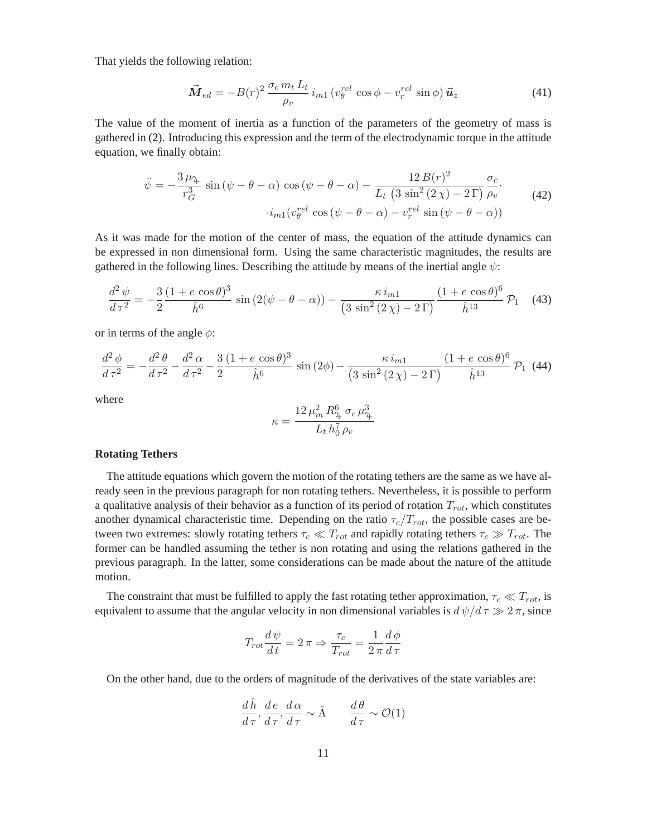That yields the following relation:

$$
\vec{M}_{ed} = -B(r)^2 \frac{\sigma_c m_t L_t}{\rho_v} i_{m1} \left( v_\theta^{rel} \cos \phi - v_r^{rel} \sin \phi \right) \vec{u}_z \tag{41}
$$

The value of the moment of inertia as a function of the parameters of the geometry of mass is gathered in [\(2\)](#page-3-1). Introducing this expression and the term of the electrodynamic torque in the attitude equation, we finally obtain:

$$
\ddot{\psi} = -\frac{3\,\mu_{\mathcal{H}}}{r_G^3} \sin\left(\psi - \theta - \alpha\right) \cos\left(\psi - \theta - \alpha\right) - \frac{12\,B(r)^2}{L_t \left(3\,\sin^2\left(2\,\chi\right) - 2\,\Gamma\right)} \frac{\sigma_c}{\rho_v}.
$$
\n
$$
\dot{i}_{m1}(v_{\theta}^{rel}\cos\left(\psi - \theta - \alpha\right) - v_r^{rel}\sin\left(\psi - \theta - \alpha\right))
$$
\n(42)

<span id="page-10-0"></span>As it was made for the motion of the center of mass, the equation of the attitude dynamics can be expressed in non dimensional form. Using the same characteristic magnitudes, the results are gathered in the following lines. Describing the attitude by means of the inertial angle  $\psi$ :

$$
\frac{d^2\psi}{d\tau^2} = -\frac{3}{2}\frac{(1+e\cos\theta)^3}{\hat{h}^6}\sin\left(2(\psi-\theta-\alpha)\right) - \frac{\kappa i_{m1}}{(3\sin^2(2\chi)-2\Gamma)}\frac{(1+e\cos\theta)^6}{\hat{h}^{13}}\mathcal{P}_1\tag{43}
$$

<span id="page-10-1"></span>or in terms of the angle  $\phi$ :

$$
\frac{d^2\phi}{d\tau^2} = -\frac{d^2\theta}{d\tau^2} - \frac{d^2\alpha}{d\tau^2} - \frac{3}{2}\frac{(1+e\cos\theta)^3}{\hat{h}^6}\sin(2\phi) - \frac{\kappa i_{m1}}{(3\sin^2(2\chi) - 2\Gamma)}\frac{(1+e\cos\theta)^6}{\hat{h}^{13}}\mathcal{P}_1 \tag{44}
$$

where

$$
\kappa = \frac{12 \,\mu_m^2 \, R_\text{L}^6 \, \sigma_c \, \mu_\text{L}^3}{L_t \, h_0^7 \, \rho_v}
$$

#### **Rotating Tethers**

The attitude equations which govern the motion of the rotating tethers are the same as we have already seen in the previous paragraph for non rotating tethers. Nevertheless, it is possible to perform a qualitative analysis of their behavior as a function of its period of rotation  $T_{rot}$ , which constitutes another dynamical characteristic time. Depending on the ratio  $\tau_c/T_{rot}$ , the possible cases are between two extremes: slowly rotating tethers  $\tau_c \ll T_{rot}$  and rapidly rotating tethers  $\tau_c \gg T_{rot}$ . The former can be handled assuming the tether is non rotating and using the relations gathered in the previous paragraph. In the latter, some considerations can be made about the nature of the attitude motion.

The constraint that must be fulfilled to apply the fast rotating tether approximation,  $\tau_c \ll T_{rot}$ , is equivalent to assume that the angular velocity in non dimensional variables is  $d\psi/d\tau \gg 2\pi$ , since

$$
T_{rot}\frac{d\psi}{dt} = 2\pi \Rightarrow \frac{\tau_c}{T_{rot}} = \frac{1}{2\pi}\frac{d\phi}{d\tau}
$$

On the other hand, due to the orders of magnitude of the derivatives of the state variables are:

$$
\frac{d\hat{h}}{d\tau}, \frac{d\,e}{d\,\tau}, \frac{d\,\alpha}{d\,\tau} \sim \hat{\Lambda} \qquad \frac{d\,\theta}{d\,\tau} \sim \mathcal{O}(1)
$$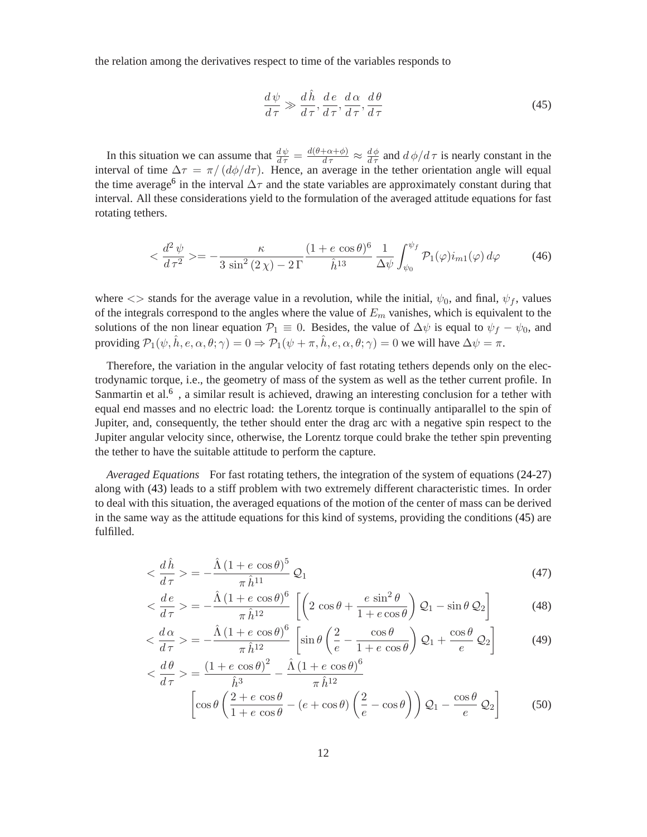the relation among the derivatives respect to time of the variables responds to

<span id="page-11-0"></span>
$$
\frac{d\psi}{d\tau} \gg \frac{d\hat{h}}{d\tau}, \frac{de}{d\tau}, \frac{d\alpha}{d\tau}, \frac{d\theta}{d\tau}
$$
\n(45)

In this situation we can assume that  $\frac{d\psi}{d\tau} = \frac{d(\theta + \alpha + \phi)}{d\tau} \approx \frac{d\phi}{d\tau}$  and  $d\phi/d\tau$  is nearly constant in the interval of time  $\Delta \tau = \pi/(d\phi/d\tau)$ . Hence, an average in the tether orientation angle will equal the time average<sup>[6](#page-21-5)</sup> in the interval  $\Delta\tau$  and the state variables are approximately constant during that interval. All these considerations yield to the formulation of the averaged attitude equations for fast rotating tethers.

$$
\langle \frac{d^2 \psi}{d \tau^2} \rangle = -\frac{\kappa}{3 \sin^2(2 \chi) - 2 \Gamma} \frac{(1 + e \cos \theta)^6}{\hat{h}^{13}} \frac{1}{\Delta \psi} \int_{\psi_0}^{\psi_f} \mathcal{P}_1(\varphi) i_{m1}(\varphi) d\varphi \tag{46}
$$

where  $\langle \rangle$  stands for the average value in a revolution, while the initial,  $\psi_0$ , and final,  $\psi_f$ , values of the integrals correspond to the angles where the value of  $E<sub>m</sub>$  vanishes, which is equivalent to the solutions of the non linear equation  $\mathcal{P}_1 \equiv 0$ . Besides, the value of  $\Delta \psi$  is equal to  $\psi_f - \psi_0$ , and providing  $\mathcal{P}_1(\psi, \hat{h}, e, \alpha, \theta; \gamma) = 0 \Rightarrow \mathcal{P}_1(\psi + \pi, \hat{h}, e, \alpha, \theta; \gamma) = 0$  we will have  $\Delta \psi = \pi$ .

Therefore, the variation in the angular velocity of fast rotating tethers depends only on the electrodynamic torque, i.e., the geometry of mass of the system as well as the tether current profile. In Sanmartin et al.<sup>[6](#page-21-5)</sup>, a similar result is achieved, drawing an interesting conclusion for a tether with equal end masses and no electric load: the Lorentz torque is continually antiparallel to the spin of Jupiter, and, consequently, the tether should enter the drag arc with a negative spin respect to the Jupiter angular velocity since, otherwise, the Lorentz torque could brake the tether spin preventing the tether to have the suitable attitude to perform the capture.

*Averaged Equations* For fast rotating tethers, the integration of the system of equations [\(24-27\)](#page-7-0) along with [\(43\)](#page-10-0) leads to a stiff problem with two extremely different characteristic times. In order to deal with this situation, the averaged equations of the motion of the center of mass can be derived in the same way as the attitude equations for this kind of systems, providing the conditions [\(45\)](#page-11-0) are fulfilled.

$$
\langle \frac{d\hat{h}}{d\tau} \rangle = -\frac{\hat{\Lambda} \left(1 + e \cos \theta\right)^5}{\pi \hat{h}^{11}} \mathcal{Q}_1 \tag{47}
$$

$$
\langle \frac{de}{d\tau} \rangle = -\frac{\hat{\Lambda} (1 + e \cos \theta)^6}{\pi \hat{h}^{12}} \left[ \left( 2 \cos \theta + \frac{e \sin^2 \theta}{1 + e \cos \theta} \right) \mathcal{Q}_1 - \sin \theta \mathcal{Q}_2 \right]
$$
(48)

$$
\langle \frac{d\alpha}{d\tau} \rangle = -\frac{\hat{\Lambda}(1 + e\cos\theta)^6}{\pi \hat{h}^{12}} \left[ \sin\theta \left( \frac{2}{e} - \frac{\cos\theta}{1 + e\cos\theta} \right) \mathcal{Q}_1 + \frac{\cos\theta}{e} \mathcal{Q}_2 \right]
$$
(49)

$$
\langle \frac{d\theta}{d\tau} \rangle = \frac{(1 + e \cos \theta)^2}{\hat{h}^3} - \frac{\hat{\Lambda} (1 + e \cos \theta)^6}{\pi \hat{h}^{12}} \left[ \cos \theta \left( \frac{2 + e \cos \theta}{1 + e \cos \theta} - (e + \cos \theta) \left( \frac{2}{e} - \cos \theta \right) \right) \mathcal{Q}_1 - \frac{\cos \theta}{e} \mathcal{Q}_2 \right] \tag{50}
$$

 $\overline{\phantom{a}}$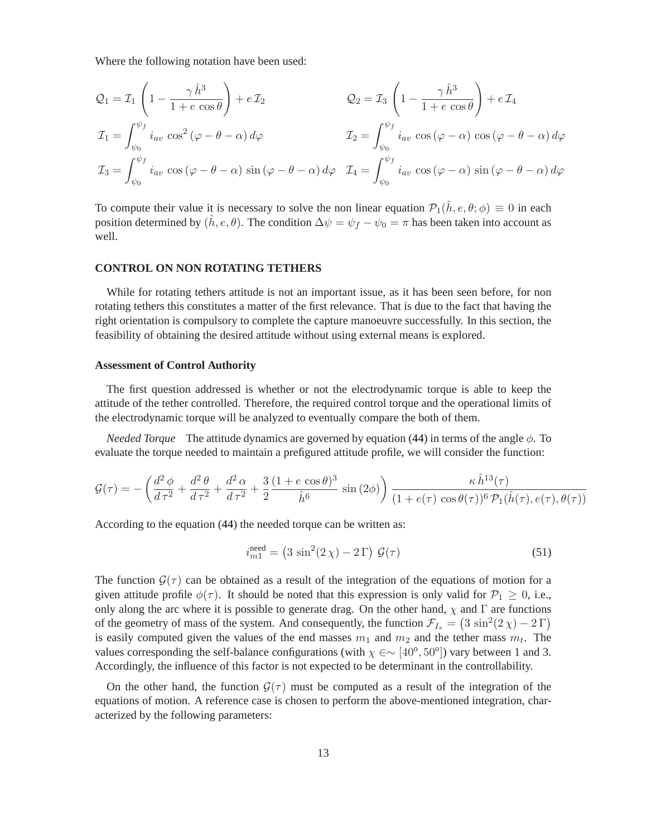Where the following notation have been used:

$$
Q_1 = \mathcal{I}_1 \left( 1 - \frac{\gamma \hat{h}^3}{1 + e \cos \theta} \right) + e \mathcal{I}_2
$$
  
\n
$$
\mathcal{I}_1 = \int_{\psi_0}^{\psi_f} i_{av} \cos^2 (\varphi - \theta - \alpha) d\varphi
$$
  
\n
$$
\mathcal{I}_2 = \int_{\psi_0}^{\psi_f} i_{av} \cos (\varphi - \alpha) \cos (\varphi - \theta - \alpha) d\varphi
$$
  
\n
$$
\mathcal{I}_3 = \int_{\psi_0}^{\psi_f} i_{av} \cos (\varphi - \theta - \alpha) \sin (\varphi - \theta - \alpha) d\varphi
$$
  
\n
$$
\mathcal{I}_4 = \int_{\psi_0}^{\psi_f} i_{av} \cos (\varphi - \alpha) \sin (\varphi - \theta - \alpha) d\varphi
$$

To compute their value it is necessary to solve the non linear equation  $\mathcal{P}_1(\hat{h}, e, \theta; \phi) \equiv 0$  in each position determined by  $(\hat{h}, e, \theta)$ . The condition  $\Delta \psi = \psi_f - \psi_0 = \pi$  has been taken into account as well.

#### **CONTROL ON NON ROTATING TETHERS**

While for rotating tethers attitude is not an important issue, as it has been seen before, for non rotating tethers this constitutes a matter of the first relevance. That is due to the fact that having the right orientation is compulsory to complete the capture manoeuvre successfully. In this section, the feasibility of obtaining the desired attitude without using external means is explored.

#### **Assessment of Control Authority**

The first question addressed is whether or not the electrodynamic torque is able to keep the attitude of the tether controlled. Therefore, the required control torque and the operational limits of the electrodynamic torque will be analyzed to eventually compare the both of them.

*Needed Torque* The attitude dynamics are governed by equation [\(44\)](#page-10-1) in terms of the angle φ. To evaluate the torque needed to maintain a prefigured attitude profile, we will consider the function:

$$
\mathcal{G}(\tau) = -\left(\frac{d^2 \phi}{d \tau^2} + \frac{d^2 \theta}{d \tau^2} + \frac{d^2 \alpha}{d \tau^2} + \frac{3}{2} \frac{(1 + e \cos \theta)^3}{\hat{h}^6} \sin(2\phi)\right) \frac{\kappa \hat{h}^{13}(\tau)}{(1 + e(\tau) \cos \theta(\tau))^6 \mathcal{P}_1(\hat{h}(\tau), e(\tau), \theta(\tau))}
$$

<span id="page-12-0"></span>According to the equation [\(44\)](#page-10-1) the needed torque can be written as:

$$
i_{m1}^{\text{need}} = (3\sin^2(2\chi) - 2\,\Gamma)\,\mathcal{G}(\tau) \tag{51}
$$

The function  $\mathcal{G}(\tau)$  can be obtained as a result of the integration of the equations of motion for a given attitude profile  $\phi(\tau)$ . It should be noted that this expression is only valid for  $\mathcal{P}_1 \geq 0$ , i.e., only along the arc where it is possible to generate drag. On the other hand,  $\chi$  and  $\Gamma$  are functions of the geometry of mass of the system. And consequently, the function  $\mathcal{F}_{I_s} = (3 \sin^2(2 \chi) - 2 \Gamma)$ is easily computed given the values of the end masses  $m_1$  and  $m_2$  and the tether mass  $m_t$ . The values corresponding the self-balance configurations (with  $\chi \in \sim [40^{\circ}, 50^{\circ}]$ ) vary between 1 and 3. Accordingly, the influence of this factor is not expected to be determinant in the controllability.

On the other hand, the function  $\mathcal{G}(\tau)$  must be computed as a result of the integration of the equations of motion. A reference case is chosen to perform the above-mentioned integration, characterized by the following parameters: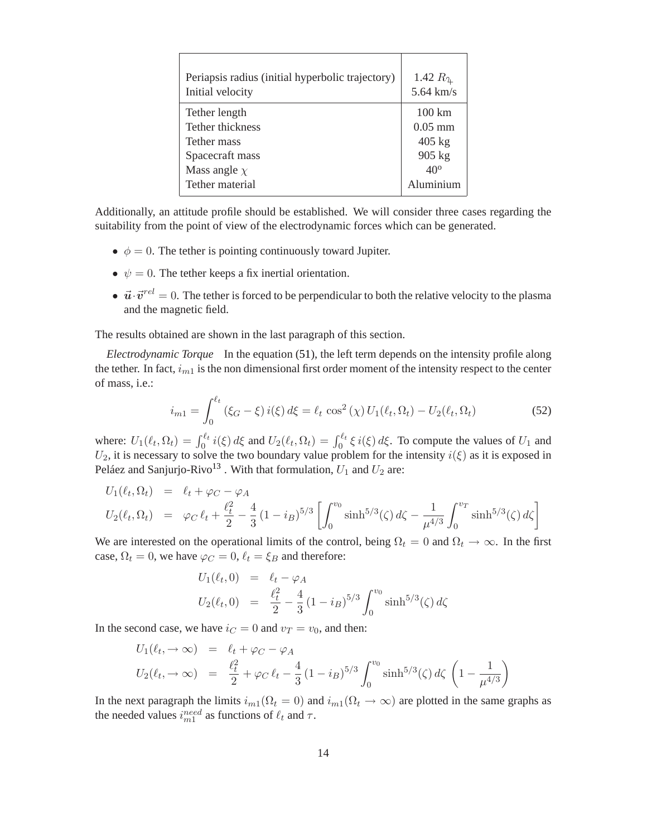| Periapsis radius (initial hyperbolic trajectory)<br>Initial velocity | 1.42 $R_4$<br>$5.64$ km/s |
|----------------------------------------------------------------------|---------------------------|
| Tether length                                                        | $100 \mathrm{km}$         |
| Tether thickness                                                     | $0.05$ mm                 |
| Tether mass                                                          | $405$ kg                  |
| Spacecraft mass                                                      | 905 kg                    |
| Mass angle $\chi$                                                    | $40^\circ$                |
| Tether material                                                      | Aluminium                 |

Additionally, an attitude profile should be established. We will consider three cases regarding the suitability from the point of view of the electrodynamic forces which can be generated.

- $\phi = 0$ . The tether is pointing continuously toward Jupiter.
- $\psi = 0$ . The tether keeps a fix inertial orientation.
- $\vec{u} \cdot \vec{v}^{rel} = 0$ . The tether is forced to be perpendicular to both the relative velocity to the plasma and the magnetic field.

The results obtained are shown in the last paragraph of this section.

*Electrodynamic Torque* In the equation [\(51\)](#page-12-0), the left term depends on the intensity profile along the tether. In fact,  $i_{m1}$  is the non dimensional first order moment of the intensity respect to the center of mass, i.e.:

$$
i_{m1} = \int_0^{\ell_t} (\xi_G - \xi) i(\xi) d\xi = \ell_t \cos^2(\chi) U_1(\ell_t, \Omega_t) - U_2(\ell_t, \Omega_t)
$$
 (52)

where:  $U_1(\ell_t, \Omega_t) = \int_0^{\ell_t} i(\xi) d\xi$  and  $U_2(\ell_t, \Omega_t) = \int_0^{\ell_t} \xi i(\xi) d\xi$ . To compute the values of  $U_1$  and  $U_2$ , it is necessary to solve the two boundary value problem for the intensity  $i(\xi)$  as it is exposed in Peláez and Sanjurjo-Rivo<sup>[13](#page-22-1)</sup>. With that formulation,  $U_1$  and  $U_2$  are:

$$
U_1(\ell_t, \Omega_t) = \ell_t + \varphi_C - \varphi_A
$$
  
\n
$$
U_2(\ell_t, \Omega_t) = \varphi_C \ell_t + \frac{\ell_t^2}{2} - \frac{4}{3} (1 - i_B)^{5/3} \left[ \int_0^{v_0} \sinh^{5/3}(\zeta) d\zeta - \frac{1}{\mu^{4/3}} \int_0^{v_T} \sinh^{5/3}(\zeta) d\zeta \right]
$$

We are interested on the operational limits of the control, being  $\Omega_t = 0$  and  $\Omega_t \to \infty$ . In the first case,  $\Omega_t = 0$ , we have  $\varphi_C = 0$ ,  $\ell_t = \xi_B$  and therefore:

$$
U_1(\ell_t, 0) = \ell_t - \varphi_A
$$
  
\n
$$
U_2(\ell_t, 0) = \frac{\ell_t^2}{2} - \frac{4}{3} (1 - i_B)^{5/3} \int_0^{v_0} \sinh^{5/3}(\zeta) d\zeta
$$

In the second case, we have  $i_C = 0$  and  $v_T = v_0$ , and then:

$$
U_1(\ell_t, \to \infty) = \ell_t + \varphi_C - \varphi_A
$$
  
\n
$$
U_2(\ell_t, \to \infty) = \frac{\ell_t^2}{2} + \varphi_C \ell_t - \frac{4}{3} (1 - i_B)^{5/3} \int_0^{v_0} \sinh^{5/3}(\zeta) d\zeta \left(1 - \frac{1}{\mu^{4/3}}\right)
$$

In the next paragraph the limits  $i_{m1}(\Omega_t = 0)$  and  $i_{m1}(\Omega_t \to \infty)$  are plotted in the same graphs as the needed values  $i_{m1}^{need}$  as functions of  $\ell_t$  and  $\tau$ .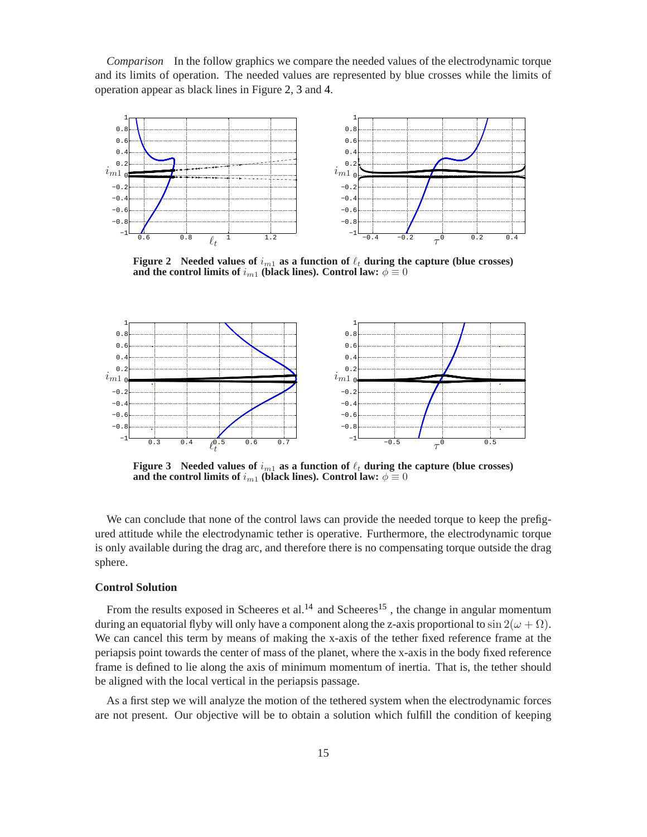*Comparison* In the follow graphics we compare the needed values of the electrodynamic torque and its limits of operation. The needed values are represented by blue crosses while the limits of operation appear as black lines in Figure [2,](#page-14-0) [3](#page-14-1) and [4.](#page-15-0)



<span id="page-14-0"></span>**Figure 2** Needed values of  $i_{m1}$  as a function of  $\ell_t$  during the capture (blue crosses) **and the control limits of**  $i_{m1}$  **(black lines). Control law:**  $\phi \equiv 0$ 



<span id="page-14-1"></span>**Figure 3** Needed values of  $i_{m1}$  as a function of  $\ell_t$  during the capture (blue crosses) **and the control limits of**  $i_{m1}$  (black lines). Control law:  $\phi \equiv 0$ 

We can conclude that none of the control laws can provide the needed torque to keep the prefigured attitude while the electrodynamic tether is operative. Furthermore, the electrodynamic torque is only available during the drag arc, and therefore there is no compensating torque outside the drag sphere.

# **Control Solution**

From the results exposed in Scheeres et al.<sup>[14](#page-22-2)</sup> and Scheeres<sup>[15](#page-22-3)</sup>, the change in angular momentum during an equatorial flyby will only have a component along the z-axis proportional to  $\sin 2(\omega + \Omega)$ . We can cancel this term by means of making the x-axis of the tether fixed reference frame at the periapsis point towards the center of mass of the planet, where the x-axis in the body fixed reference frame is defined to lie along the axis of minimum momentum of inertia. That is, the tether should be aligned with the local vertical in the periapsis passage.

As a first step we will analyze the motion of the tethered system when the electrodynamic forces are not present. Our objective will be to obtain a solution which fulfill the condition of keeping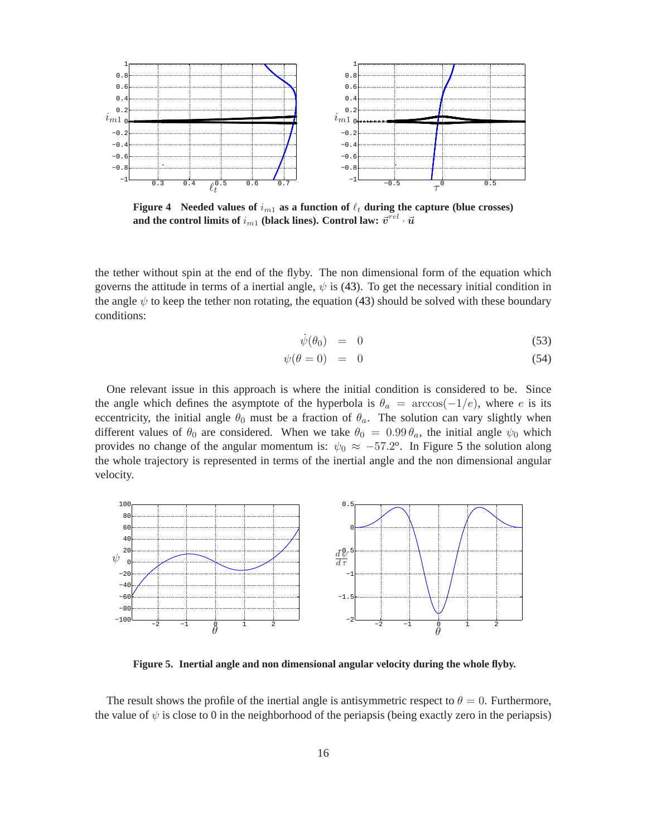

<span id="page-15-0"></span>**Figure 4** Needed values of  $i_{m1}$  as a function of  $\ell_t$  during the capture (blue crosses) and the control limits of  $i_{m1}$  (black lines). Control law:  $\vec{v}^{rel} \cdot \vec{u}$ 

the tether without spin at the end of the flyby. The non dimensional form of the equation which governs the attitude in terms of a inertial angle,  $\psi$  is [\(43\)](#page-10-0). To get the necessary initial condition in the angle  $\psi$  to keep the tether non rotating, the equation [\(43\)](#page-10-0) should be solved with these boundary conditions:

$$
\dot{\psi}(\theta_0) = 0 \tag{53}
$$

$$
\psi(\theta = 0) = 0 \tag{54}
$$

One relevant issue in this approach is where the initial condition is considered to be. Since the angle which defines the asymptote of the hyperbola is  $\theta_a = \arccos(-1/e)$ , where e is its eccentricity, the initial angle  $\theta_0$  must be a fraction of  $\theta_a$ . The solution can vary slightly when different values of  $\theta_0$  are considered. When we take  $\theta_0 = 0.99 \theta_a$ , the initial angle  $\psi_0$  which provides no change of the angular momentum is:  $\psi_0 \approx -57.2^{\circ}$  $\psi_0 \approx -57.2^{\circ}$  $\psi_0 \approx -57.2^{\circ}$ . In Figure 5 the solution along the whole trajectory is represented in terms of the inertial angle and the non dimensional angular velocity.



<span id="page-15-1"></span>**Figure 5. Inertial angle and non dimensional angular velocity during the whole flyby.**

The result shows the profile of the inertial angle is antisymmetric respect to  $\theta = 0$ . Furthermore, the value of  $\psi$  is close to 0 in the neighborhood of the periapsis (being exactly zero in the periapsis)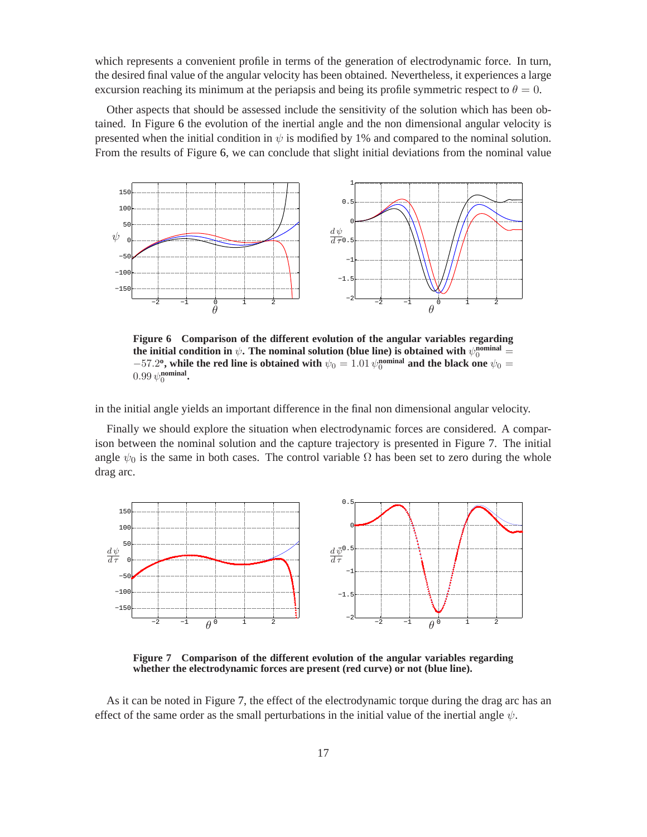which represents a convenient profile in terms of the generation of electrodynamic force. In turn, the desired final value of the angular velocity has been obtained. Nevertheless, it experiences a large excursion reaching its minimum at the periapsis and being its profile symmetric respect to  $\theta = 0$ .

Other aspects that should be assessed include the sensitivity of the solution which has been obtained. In Figure [6](#page-16-0) the evolution of the inertial angle and the non dimensional angular velocity is presented when the initial condition in  $\psi$  is modified by 1% and compared to the nominal solution. From the results of Figure [6,](#page-16-0) we can conclude that slight initial deviations from the nominal value



<span id="page-16-0"></span>**Figure 6 Comparison of the different evolution of the angular variables regarding** the initial condition in  $\psi$ . The nominal solution (blue line) is obtained with  $\psi_0^\text{nominal} = 0$  $-57.2$ <sup>o</sup>, while the red line is obtained with  $\psi_0 = 1.01 \psi_0^{\text{nominal}}$  and the black one  $\psi_0 =$  $0.99 \psi_0^{\text{nominal}}$ .

in the initial angle yields an important difference in the final non dimensional angular velocity.

Finally we should explore the situation when electrodynamic forces are considered. A comparison between the nominal solution and the capture trajectory is presented in Figure [7.](#page-16-1) The initial angle  $\psi_0$  is the same in both cases. The control variable  $\Omega$  has been set to zero during the whole drag arc.



<span id="page-16-1"></span>**Figure 7 Comparison of the different evolution of the angular variables regarding whether the electrodynamic forces are present (red curve) or not (blue line).**

As it can be noted in Figure [7,](#page-16-1) the effect of the electrodynamic torque during the drag arc has an effect of the same order as the small perturbations in the initial value of the inertial angle  $\psi$ .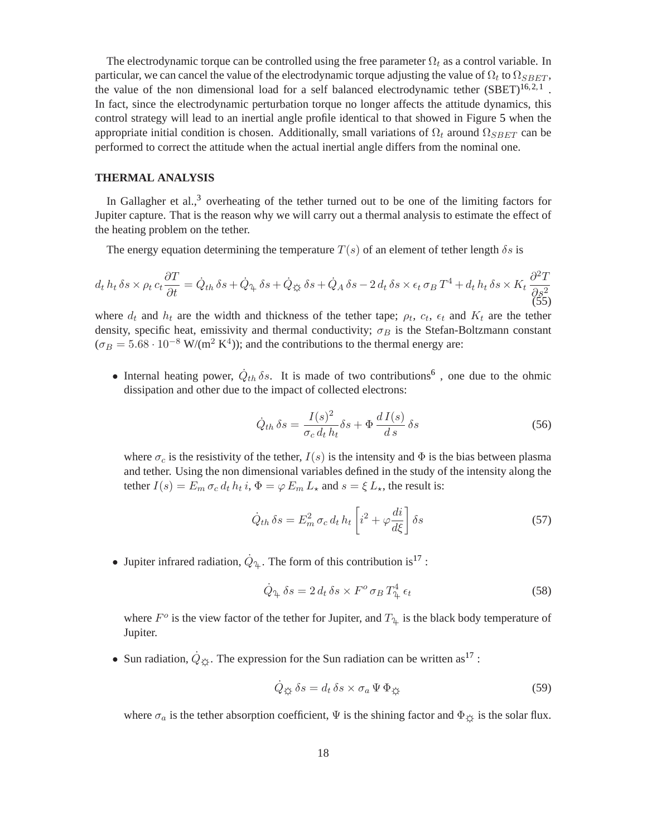The electrodynamic torque can be controlled using the free parameter  $\Omega_t$  as a control variable. In particular, we can cancel the value of the electrodynamic torque adjusting the value of  $\Omega_t$  to  $\Omega_{SBET}$ , the value of the non dimensional load for a self balanced electrodynamic tether  $(SBET)^{16,2,1}$  $(SBET)^{16,2,1}$  $(SBET)^{16,2,1}$  $(SBET)^{16,2,1}$  $(SBET)^{16,2,1}$ . In fact, since the electrodynamic perturbation torque no longer affects the attitude dynamics, this control strategy will lead to an inertial angle profile identical to that showed in Figure [5](#page-15-1) when the appropriate initial condition is chosen. Additionally, small variations of  $\Omega_t$  around  $\Omega_{SBET}$  can be performed to correct the attitude when the actual inertial angle differs from the nominal one.

# **THERMAL ANALYSIS**

In Gallagher et al.,<sup>[3](#page-21-2)</sup> overheating of the tether turned out to be one of the limiting factors for Jupiter capture. That is the reason why we will carry out a thermal analysis to estimate the effect of the heating problem on the tether.

The energy equation determining the temperature  $T(s)$  of an element of tether length  $\delta s$  is

<span id="page-17-1"></span>
$$
d_t h_t \, \delta s \times \rho_t c_t \frac{\partial T}{\partial t} = \dot{Q}_{th} \, \delta s + \dot{Q}_{\mathfrak{L}} \, \delta s + \dot{Q}_{\mathfrak{L}} \, \delta s + \dot{Q}_A \, \delta s - 2 \, d_t \, \delta s \times \epsilon_t \, \sigma_B \, T^4 + d_t \, h_t \, \delta s \times K_t \, \frac{\partial^2 T}{\partial s^2}
$$
\n
$$
(55)
$$

where  $d_t$  and  $h_t$  are the width and thickness of the tether tape;  $\rho_t$ ,  $c_t$ ,  $\epsilon_t$  and  $K_t$  are the tether density, specific heat, emissivity and thermal conductivity;  $\sigma_B$  is the Stefan-Boltzmann constant  $(\sigma_B = 5.68 \cdot 10^{-8} \text{ W/(m}^2 \text{ K}^4))$ ; and the contributions to the thermal energy are:

• Internal heating power,  $\dot{Q}_{th} \delta s$ . It is made of two contributions<sup>[6](#page-21-5)</sup>, one due to the ohmic dissipation and other due to the impact of collected electrons:

$$
\dot{Q}_{th}\,\delta s = \frac{I(s)^2}{\sigma_c\,d_t\,h_t}\delta s + \Phi\,\frac{d\,I(s)}{d\,s}\,\delta s\tag{56}
$$

<span id="page-17-0"></span>where  $\sigma_c$  is the resistivity of the tether,  $I(s)$  is the intensity and  $\Phi$  is the bias between plasma and tether. Using the non dimensional variables defined in the study of the intensity along the tether  $I(s) = E_m \sigma_c d_t h_t i$ ,  $\Phi = \varphi E_m L_\star$  and  $s = \xi L_\star$ , the result is:

$$
\dot{Q}_{th}\,\delta s = E_m^2\,\sigma_c\,d_t\,h_t\left[i^2 + \varphi\frac{di}{d\xi}\right]\delta s\tag{57}
$$

• Jupiter infrared radiation,  $\dot{Q}_{\text{A}}$ . The form of this contribution is<sup>[17](#page-22-5)</sup>:

$$
\dot{Q}_{\mathfrak{P}_t} \delta s = 2 d_t \delta s \times F^o \sigma_B T^4_{\mathfrak{P}_t} \epsilon_t \tag{58}
$$

where  $F^o$  is the view factor of the tether for Jupiter, and  $T_{\mathfrak{P}}$  is the black body temperature of Jupiter.

• Sun radiation,  $\dot{Q}_{\dot{\alpha}}$ . The expression for the Sun radiation can be written as<sup>[17](#page-22-5)</sup>:

$$
\dot{Q}_{\xi\xi} \,\delta s = d_t \,\delta s \times \sigma_a \,\Psi \,\Phi_{\xi\xi} \tag{59}
$$

where  $\sigma_a$  is the tether absorption coefficient,  $\Psi$  is the shining factor and  $\Phi_{\mathfrak{S}}$  is the solar flux.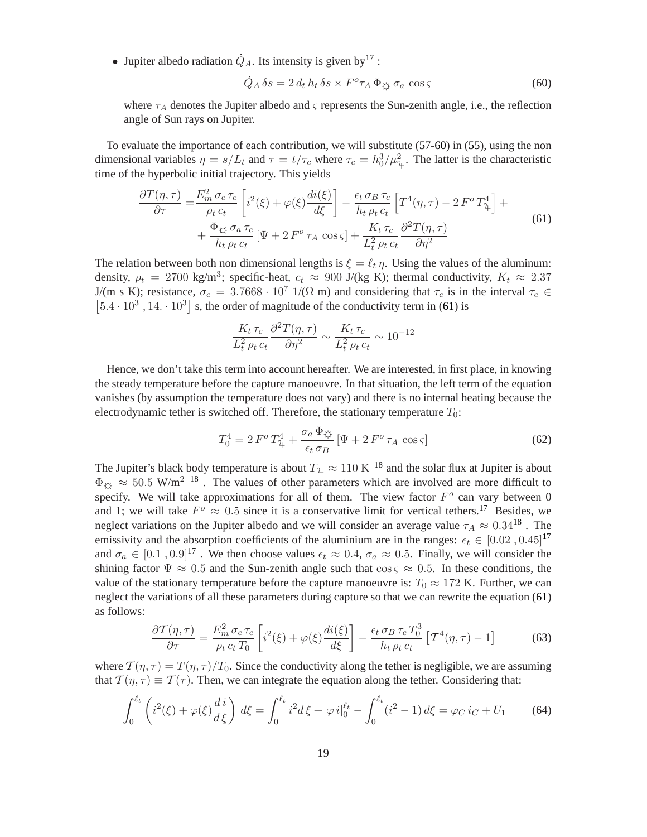<span id="page-18-0"></span>• Jupiter albedo radiation  $\dot{Q}_A$ . Its intensity is given by <sup>[17](#page-22-5)</sup> :

$$
\dot{Q}_A \,\delta s = 2 \, d_t \, h_t \,\delta s \times F^o \tau_A \,\Phi_{\xi \xi} \,\sigma_a \, \cos \varsigma \tag{60}
$$

where  $\tau_A$  denotes the Jupiter albedo and  $\varsigma$  represents the Sun-zenith angle, i.e., the reflection angle of Sun rays on Jupiter.

<span id="page-18-1"></span>To evaluate the importance of each contribution, we will substitute [\(57](#page-17-0)[-60\)](#page-18-0) in [\(55\)](#page-17-1), using the non dimensional variables  $\eta = s/L_t$  and  $\tau = t/\tau_c$  where  $\tau_c = h_0^3/\mu_{\tau_L}^2$ . The latter is the characteristic time of the hyperbolic initial trajectory. This yields

$$
\frac{\partial T(\eta,\tau)}{\partial \tau} = \frac{E_m^2 \sigma_c \tau_c}{\rho_t c_t} \left[ i^2(\xi) + \varphi(\xi) \frac{di(\xi)}{d\xi} \right] - \frac{\epsilon_t \sigma_B \tau_c}{h_t \rho_t c_t} \left[ T^4(\eta,\tau) - 2 F^0 T^4_{\tau} \right] + \frac{\Phi_{\xi\xi} \sigma_a \tau_c}{h_t \rho_t c_t} \left[ \Psi + 2 F^0 \tau_A \cos \varsigma \right] + \frac{K_t \tau_c}{L_t^2 \rho_t c_t} \frac{\partial^2 T(\eta,\tau)}{\partial \eta^2}
$$
\n(61)

The relation between both non dimensional lengths is  $\xi = \ell_t \eta$ . Using the values of the aluminum: density,  $\rho_t = 2700 \text{ kg/m}^3$ ; specific-heat,  $c_t \approx 900 \text{ J/(kg K)}$ ; thermal conductivity,  $K_t \approx 2.37$ J/(m s K); resistance,  $\sigma_c = 3.7668 \cdot 10^7$  1/( $\Omega$  m) and considering that  $\tau_c$  is in the interval  $\tau_c \in$  $[5.4 \cdot 10^3, 14 \cdot 10^3]$  s, the order of magnitude of the conductivity term in [\(61\)](#page-18-1) is

$$
\frac{K_t \tau_c}{L_t^2 \rho_t c_t} \frac{\partial^2 T(\eta, \tau)}{\partial \eta^2} \sim \frac{K_t \tau_c}{L_t^2 \rho_t c_t} \sim 10^{-12}
$$

Hence, we don't take this term into account hereafter. We are interested, in first place, in knowing the steady temperature before the capture manoeuvre. In that situation, the left term of the equation vanishes (by assumption the temperature does not vary) and there is no internal heating because the electrodynamic tether is switched off. Therefore, the stationary temperature  $T_0$ :

$$
T_0^4 = 2 F^o T_\mu^4 + \frac{\sigma_a \Phi_{\xi\xi}}{\epsilon_t \sigma_B} \left[ \Psi + 2 F^o \tau_A \cos \varsigma \right]
$$
 (62)

The Jupiter's black body temperature is about  $T_{\frac{\alpha}{2}} \approx 110 \text{ K}^{-18}$  $T_{\frac{\alpha}{2}} \approx 110 \text{ K}^{-18}$  $T_{\frac{\alpha}{2}} \approx 110 \text{ K}^{-18}$  and the solar flux at Jupiter is about  $\Phi_{\mathcal{O}} \approx 50.5$  W/m<sup>2 [18](#page-22-6)</sup>. The values of other parameters which are involved are more difficult to specify. We will take approximations for all of them. The view factor  $F<sup>o</sup>$  can vary between 0 and 1; we will take  $F^{\circ} \approx 0.5$  since it is a conservative limit for vertical tethers.<sup>[17](#page-22-5)</sup> Besides, we neglect variations on the Jupiter albedo and we will consider an average value  $\tau_A \approx 0.34^{18}$  $\tau_A \approx 0.34^{18}$  $\tau_A \approx 0.34^{18}$ . The emissivity and the absorption coefficients of the aluminium are in the ranges:  $\epsilon_t \in [0.02, 0.45]^{17}$  $\epsilon_t \in [0.02, 0.45]^{17}$  $\epsilon_t \in [0.02, 0.45]^{17}$ and  $\sigma_a \in [0.1, 0.9]^{17}$  $\sigma_a \in [0.1, 0.9]^{17}$  $\sigma_a \in [0.1, 0.9]^{17}$ . We then choose values  $\epsilon_t \approx 0.4$ ,  $\sigma_a \approx 0.5$ . Finally, we will consider the shining factor  $\Psi \approx 0.5$  and the Sun-zenith angle such that  $\cos \varsigma \approx 0.5$ . In these conditions, the value of the stationary temperature before the capture manoeuvre is:  $T_0 \approx 172$  K. Further, we can neglect the variations of all these parameters during capture so that we can rewrite the equation [\(61\)](#page-18-1) as follows:

$$
\frac{\partial \mathcal{T}(\eta,\tau)}{\partial \tau} = \frac{E_m^2 \sigma_c \tau_c}{\rho_t c_t T_0} \left[ i^2(\xi) + \varphi(\xi) \frac{di(\xi)}{d\xi} \right] - \frac{\epsilon_t \sigma_B \tau_c T_0^3}{h_t \rho_t c_t} \left[ \mathcal{T}^4(\eta,\tau) - 1 \right]
$$
(63)

where  $T(\eta, \tau) = T(\eta, \tau)/T_0$ . Since the conductivity along the tether is negligible, we are assuming that  $T(\eta, \tau) \equiv T(\tau)$ . Then, we can integrate the equation along the tether. Considering that:

$$
\int_0^{\ell_t} \left( i^2(\xi) + \varphi(\xi) \frac{di}{d\xi} \right) d\xi = \int_0^{\ell_t} i^2 d\xi + \varphi i \Big|_0^{\ell_t} - \int_0^{\ell_t} (i^2 - 1) d\xi = \varphi_C i_C + U_1 \tag{64}
$$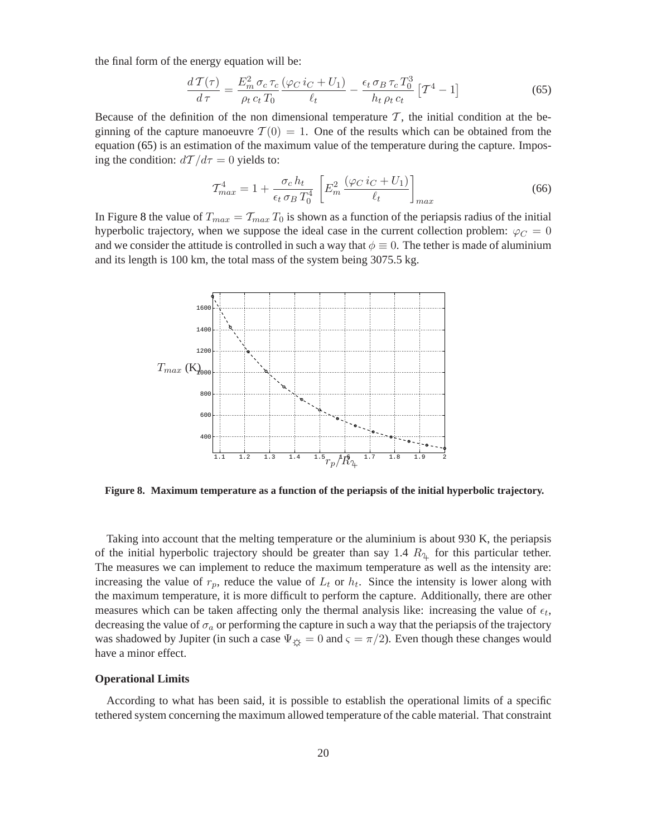<span id="page-19-0"></span>the final form of the energy equation will be:

$$
\frac{d\,\mathcal{T}(\tau)}{d\,\tau} = \frac{E_m^2 \,\sigma_c \,\tau_c}{\rho_t \,c_t \,T_0} \frac{(\varphi_C \,i_C + U_1)}{\ell_t} - \frac{\epsilon_t \,\sigma_B \,\tau_c \,T_0^3}{h_t \,\rho_t \,c_t} \left[\mathcal{T}^4 - 1\right] \tag{65}
$$

Because of the definition of the non dimensional temperature  $T$ , the initial condition at the beginning of the capture manoeuvre  $T(0) = 1$ . One of the results which can be obtained from the equation [\(65\)](#page-19-0) is an estimation of the maximum value of the temperature during the capture. Imposing the condition:  $d\mathcal{T}/d\tau = 0$  yields to:

$$
\mathcal{T}_{max}^4 = 1 + \frac{\sigma_c h_t}{\epsilon_t \sigma_B T_0^4} \left[ E_m^2 \frac{\left( \varphi_C i_C + U_1 \right)}{\ell_t} \right]_{max} \tag{66}
$$

In Figure [8](#page-19-1) the value of  $T_{max} = T_{max} T_0$  is shown as a function of the periapsis radius of the initial hyperbolic trajectory, when we suppose the ideal case in the current collection problem:  $\varphi_C = 0$ and we consider the attitude is controlled in such a way that  $\phi \equiv 0$ . The tether is made of aluminium and its length is 100 km, the total mass of the system being 3075.5 kg.



<span id="page-19-1"></span>**Figure 8. Maximum temperature as a function of the periapsis of the initial hyperbolic trajectory.**

Taking into account that the melting temperature or the aluminium is about 930 K, the periapsis of the initial hyperbolic trajectory should be greater than say 1.4  $R_{\text{A}_{\text{L}}}$  for this particular tether. The measures we can implement to reduce the maximum temperature as well as the intensity are: increasing the value of  $r_p$ , reduce the value of  $L_t$  or  $h_t$ . Since the intensity is lower along with the maximum temperature, it is more difficult to perform the capture. Additionally, there are other measures which can be taken affecting only the thermal analysis like: increasing the value of  $\epsilon_t$ , decreasing the value of  $\sigma_a$  or performing the capture in such a way that the periapsis of the trajectory was shadowed by Jupiter (in such a case  $\Psi_{\mathfrak{S}} = 0$  and  $\varsigma = \pi/2$ ). Even though these changes would have a minor effect.

# **Operational Limits**

According to what has been said, it is possible to establish the operational limits of a specific tethered system concerning the maximum allowed temperature of the cable material. That constraint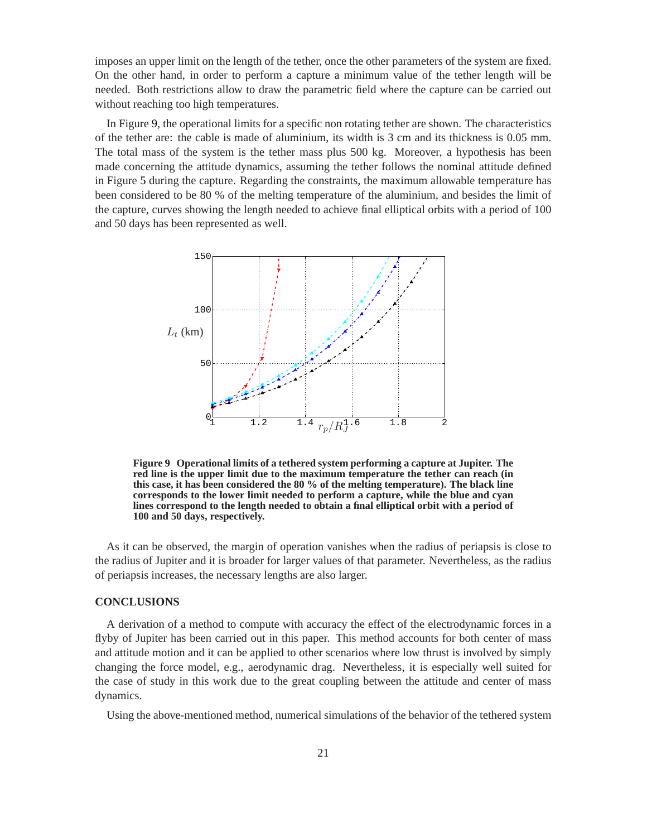imposes an upper limit on the length of the tether, once the other parameters of the system are fixed. On the other hand, in order to perform a capture a minimum value of the tether length will be needed. Both restrictions allow to draw the parametric field where the capture can be carried out without reaching too high temperatures.

In Figure [9,](#page-20-0) the operational limits for a specific non rotating tether are shown. The characteristics of the tether are: the cable is made of aluminium, its width is 3 cm and its thickness is 0.05 mm. The total mass of the system is the tether mass plus 500 kg. Moreover, a hypothesis has been made concerning the attitude dynamics, assuming the tether follows the nominal attitude defined in Figure [5](#page-15-1) during the capture. Regarding the constraints, the maximum allowable temperature has been considered to be 80 % of the melting temperature of the aluminium, and besides the limit of the capture, curves showing the length needed to achieve final elliptical orbits with a period of 100 and 50 days has been represented as well.



<span id="page-20-0"></span>**Figure 9 Operational limits of a tethered system performing a capture at Jupiter. The red line is the upper limit due to the maximum temperature the tether can reach (in this case, it has been considered the 80 % of the melting temperature). The black line corresponds to the lower limit needed to perform a capture, while the blue and cyan lines correspond to the length needed to obtain a final elliptical orbit with a period of 100 and 50 days, respectively.**

As it can be observed, the margin of operation vanishes when the radius of periapsis is close to the radius of Jupiter and it is broader for larger values of that parameter. Nevertheless, as the radius of periapsis increases, the necessary lengths are also larger.

#### **CONCLUSIONS**

A derivation of a method to compute with accuracy the effect of the electrodynamic forces in a flyby of Jupiter has been carried out in this paper. This method accounts for both center of mass and attitude motion and it can be applied to other scenarios where low thrust is involved by simply changing the force model, e.g., aerodynamic drag. Nevertheless, it is especially well suited for the case of study in this work due to the great coupling between the attitude and center of mass dynamics.

Using the above-mentioned method, numerical simulations of the behavior of the tethered system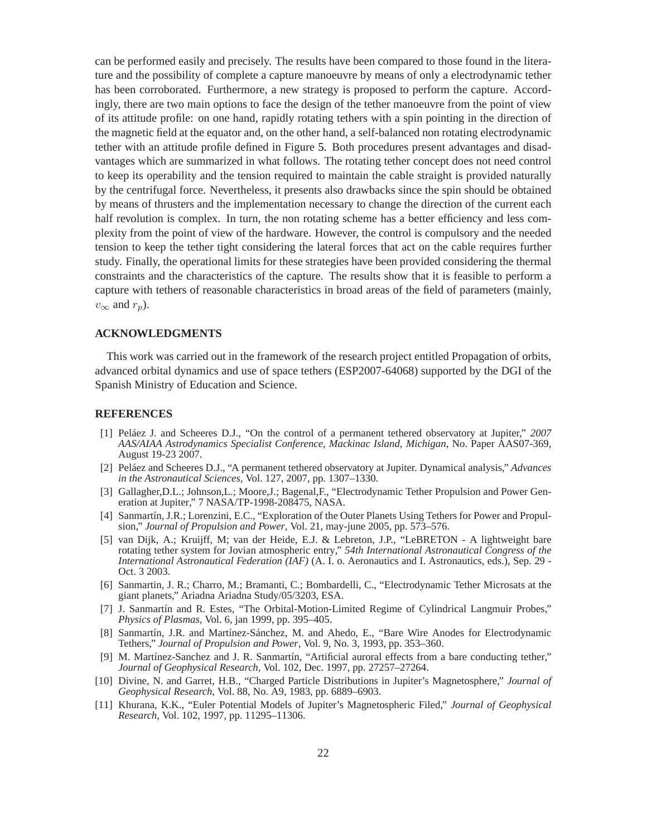can be performed easily and precisely. The results have been compared to those found in the literature and the possibility of complete a capture manoeuvre by means of only a electrodynamic tether has been corroborated. Furthermore, a new strategy is proposed to perform the capture. Accordingly, there are two main options to face the design of the tether manoeuvre from the point of view of its attitude profile: on one hand, rapidly rotating tethers with a spin pointing in the direction of the magnetic field at the equator and, on the other hand, a self-balanced non rotating electrodynamic tether with an attitude profile defined in Figure [5.](#page-15-1) Both procedures present advantages and disadvantages which are summarized in what follows. The rotating tether concept does not need control to keep its operability and the tension required to maintain the cable straight is provided naturally by the centrifugal force. Nevertheless, it presents also drawbacks since the spin should be obtained by means of thrusters and the implementation necessary to change the direction of the current each half revolution is complex. In turn, the non rotating scheme has a better efficiency and less complexity from the point of view of the hardware. However, the control is compulsory and the needed tension to keep the tether tight considering the lateral forces that act on the cable requires further study. Finally, the operational limits for these strategies have been provided considering the thermal constraints and the characteristics of the capture. The results show that it is feasible to perform a capture with tethers of reasonable characteristics in broad areas of the field of parameters (mainly,  $v_{\infty}$  and  $r_p$ ).

#### **ACKNOWLEDGMENTS**

This work was carried out in the framework of the research project entitled Propagation of orbits, advanced orbital dynamics and use of space tethers (ESP2007-64068) supported by the DGI of the Spanish Ministry of Education and Science.

#### <span id="page-21-0"></span>**REFERENCES**

- [1] Peláez J. and Scheeres D.J., "On the control of a permanent tethered observatory at Jupiter," *2007 AAS/AIAA Astrodynamics Specialist Conference, Mackinac Island, Michigan*, No. Paper AAS07-369, August 19-23 2007.
- <span id="page-21-1"></span>[2] Peláez and Scheeres D.J., "A permanent tethered observatory at Jupiter. Dynamical analysis," *Advances in the Astronautical Sciences*, Vol. 127, 2007, pp. 1307–1330.
- <span id="page-21-3"></span><span id="page-21-2"></span>[3] Gallagher,D.L.; Johnson,L.; Moore,J.; Bagenal,F., "Electrodynamic Tether Propulsion and Power Generation at Jupiter," 7 NASA/TP-1998-208475, NASA.
- [4] Sanmartín, J.R.; Lorenzini, E.C., "Exploration of the Outer Planets Using Tethers for Power and Propulsion," *Journal of Propulsion and Power*, Vol. 21, may-june 2005, pp. 573–576.
- <span id="page-21-4"></span>[5] van Dijk, A.; Kruijff, M; van der Heide, E.J. & Lebreton, J.P., "LeBRETON - A lightweight bare rotating tether system for Jovian atmospheric entry," *54th International Astronautical Congress of the International Astronautical Federation (IAF)* (A. I. o. Aeronautics and I. Astronautics, eds.), Sep. 29 - Oct. 3 2003.
- <span id="page-21-5"></span>[6] Sanmartin, J. R.; Charro, M.; Bramanti, C.; Bombardelli, C., "Electrodynamic Tether Microsats at the giant planets," Ariadna Ariadna Study/05/3203, ESA.
- <span id="page-21-6"></span>[7] J. Sanmartín and R. Estes, "The Orbital-Motion-Limited Regime of Cylindrical Langmuir Probes," *Physics of Plasmas*, Vol. 6, jan 1999, pp. 395–405.
- <span id="page-21-7"></span>[8] Sanmartín, J.R. and Martínez-Sánchez, M. and Ahedo, E., "Bare Wire Anodes for Electrodynamic Tethers," *Journal of Propulsion and Power*, Vol. 9, No. 3, 1993, pp. 353–360.
- <span id="page-21-8"></span>[9] M. Martínez-Sanchez and J. R. Sanmartín, "Artificial auroral effects from a bare conducting tether," *Journal of Geophysical Research*, Vol. 102, Dec. 1997, pp. 27257–27264.
- <span id="page-21-10"></span><span id="page-21-9"></span>[10] Divine, N. and Garret, H.B., "Charged Particle Distributions in Jupiter's Magnetosphere," *Journal of Geophysical Research*, Vol. 88, No. A9, 1983, pp. 6889–6903.
- [11] Khurana, K.K., "Euler Potential Models of Jupiter's Magnetospheric Filed," *Journal of Geophysical Research*, Vol. 102, 1997, pp. 11295–11306.